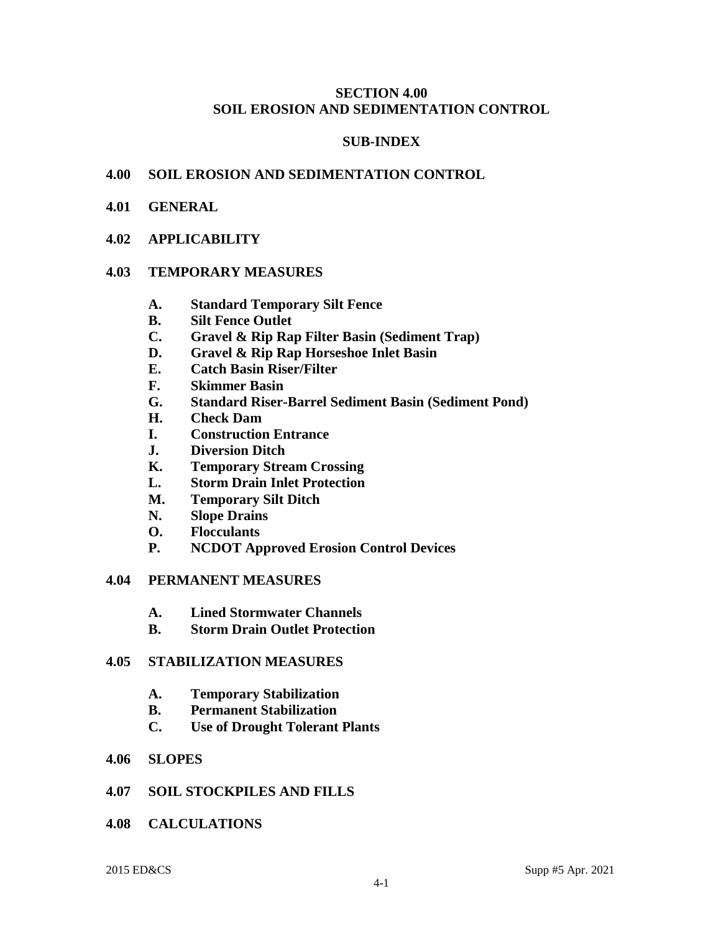#### **SECTION 4.00 SOIL EROSION AND SEDIMENTATION CONTROL**

#### **SUB-INDEX**

#### **4.00 SOIL EROSION AND SEDIMENTATION CONTROL**

- **4.01 GENERAL**
- **4.02 APPLICABILITY**

#### **4.03 TEMPORARY MEASURES**

- **A. Standard Temporary Silt Fence**
- **B. Silt Fence Outlet**
- **C. Gravel & Rip Rap Filter Basin (Sediment Trap)**
- **D. Gravel & Rip Rap Horseshoe Inlet Basin**
- **E. Catch Basin Riser/Filter**
- **F. Skimmer Basin**
- **G. Standard Riser-Barrel Sediment Basin (Sediment Pond)**
- **H. Check Dam**
- **I. Construction Entrance**
- **J. Diversion Ditch**
- **K. Temporary Stream Crossing**
- **L. Storm Drain Inlet Protection**
- **M. Temporary Silt Ditch**
- **N. Slope Drains**
- **O. Flocculants**
- **P. NCDOT Approved Erosion Control Devices**

#### **4.04 PERMANENT MEASURES**

- **A. Lined Stormwater Channels**
- **B. Storm Drain Outlet Protection**

#### **4.05 STABILIZATION MEASURES**

- **A. Temporary Stabilization**
- **B. Permanent Stabilization**
- **C. Use of Drought Tolerant Plants**

#### **4.06 SLOPES**

- **4.07 SOIL STOCKPILES AND FILLS**
- **4.08 CALCULATIONS**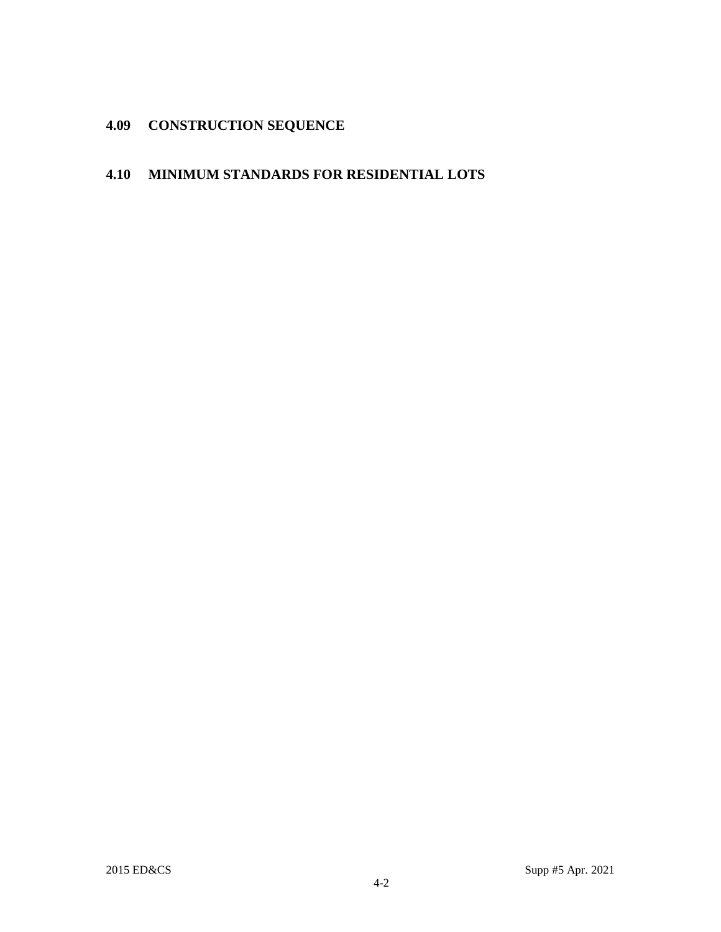# **4.09 CONSTRUCTION SEQUENCE**

# **4.10 MINIMUM STANDARDS FOR RESIDENTIAL LOTS**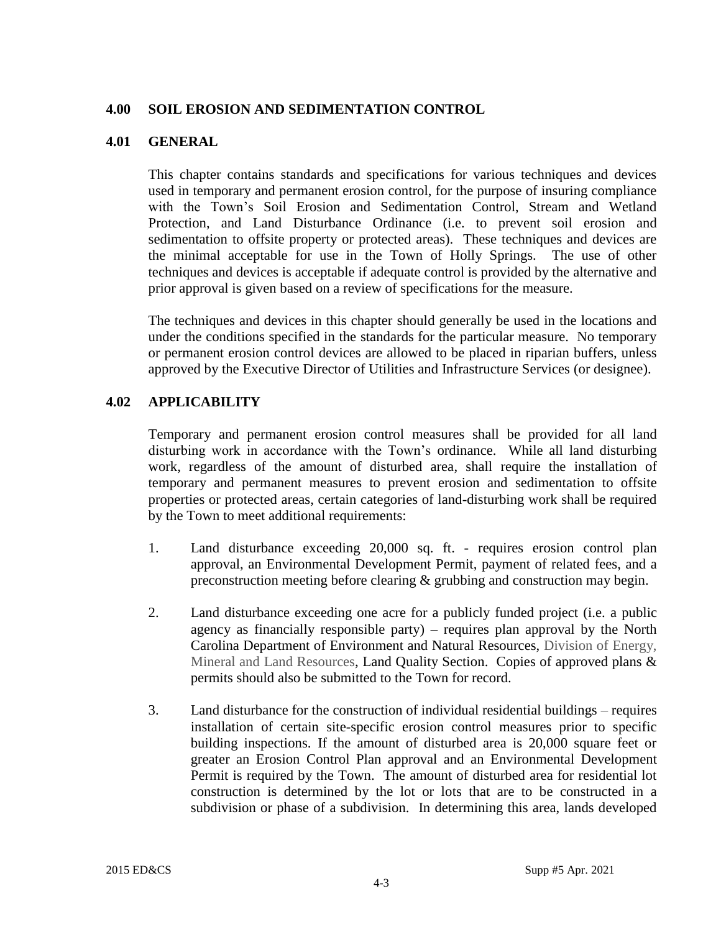#### **4.00 SOIL EROSION AND SEDIMENTATION CONTROL**

#### **4.01 GENERAL**

This chapter contains standards and specifications for various techniques and devices used in temporary and permanent erosion control, for the purpose of insuring compliance with the Town's Soil Erosion and Sedimentation Control, Stream and Wetland Protection, and Land Disturbance Ordinance (i.e. to prevent soil erosion and sedimentation to offsite property or protected areas). These techniques and devices are the minimal acceptable for use in the Town of Holly Springs. The use of other techniques and devices is acceptable if adequate control is provided by the alternative and prior approval is given based on a review of specifications for the measure.

The techniques and devices in this chapter should generally be used in the locations and under the conditions specified in the standards for the particular measure. No temporary or permanent erosion control devices are allowed to be placed in riparian buffers, unless approved by the Executive Director of Utilities and Infrastructure Services (or designee).

# **4.02 APPLICABILITY**

Temporary and permanent erosion control measures shall be provided for all land disturbing work in accordance with the Town's ordinance. While all land disturbing work, regardless of the amount of disturbed area, shall require the installation of temporary and permanent measures to prevent erosion and sedimentation to offsite properties or protected areas, certain categories of land-disturbing work shall be required by the Town to meet additional requirements:

- 1. Land disturbance exceeding 20,000 sq. ft. requires erosion control plan approval, an Environmental Development Permit, payment of related fees, and a preconstruction meeting before clearing & grubbing and construction may begin.
- 2. Land disturbance exceeding one acre for a publicly funded project (i.e. a public agency as financially responsible party) – requires plan approval by the North Carolina Department of Environment and Natural Resources, Division of Energy, Mineral and Land Resources, Land Quality Section. Copies of approved plans & permits should also be submitted to the Town for record.
- 3. Land disturbance for the construction of individual residential buildings requires installation of certain site-specific erosion control measures prior to specific building inspections. If the amount of disturbed area is 20,000 square feet or greater an Erosion Control Plan approval and an Environmental Development Permit is required by the Town. The amount of disturbed area for residential lot construction is determined by the lot or lots that are to be constructed in a subdivision or phase of a subdivision. In determining this area, lands developed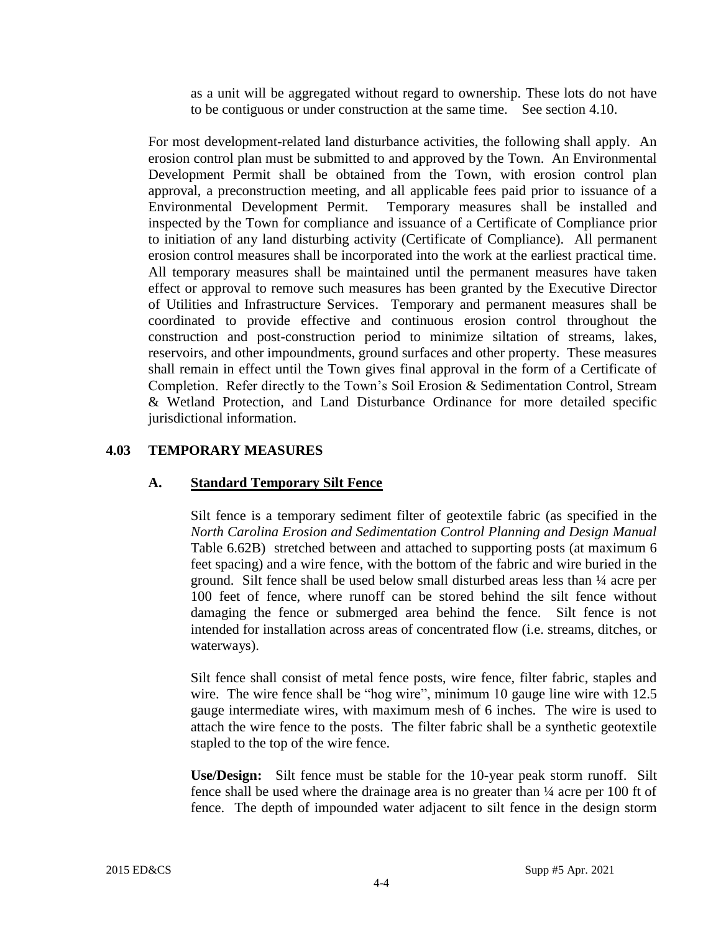as a unit will be aggregated without regard to ownership. These lots do not have to be contiguous or under construction at the same time. See section 4.10.

For most development-related land disturbance activities, the following shall apply. An erosion control plan must be submitted to and approved by the Town. An Environmental Development Permit shall be obtained from the Town, with erosion control plan approval, a preconstruction meeting, and all applicable fees paid prior to issuance of a Environmental Development Permit. Temporary measures shall be installed and inspected by the Town for compliance and issuance of a Certificate of Compliance prior to initiation of any land disturbing activity (Certificate of Compliance). All permanent erosion control measures shall be incorporated into the work at the earliest practical time. All temporary measures shall be maintained until the permanent measures have taken effect or approval to remove such measures has been granted by the Executive Director of Utilities and Infrastructure Services. Temporary and permanent measures shall be coordinated to provide effective and continuous erosion control throughout the construction and post-construction period to minimize siltation of streams, lakes, reservoirs, and other impoundments, ground surfaces and other property. These measures shall remain in effect until the Town gives final approval in the form of a Certificate of Completion. Refer directly to the Town's Soil Erosion & Sedimentation Control, Stream & Wetland Protection, and Land Disturbance Ordinance for more detailed specific jurisdictional information.

#### **4.03 TEMPORARY MEASURES**

# **A. Standard Temporary Silt Fence**

Silt fence is a temporary sediment filter of geotextile fabric (as specified in the *North Carolina Erosion and Sedimentation Control Planning and Design Manual* Table 6.62B) stretched between and attached to supporting posts (at maximum 6 feet spacing) and a wire fence, with the bottom of the fabric and wire buried in the ground. Silt fence shall be used below small disturbed areas less than ¼ acre per 100 feet of fence, where runoff can be stored behind the silt fence without damaging the fence or submerged area behind the fence. Silt fence is not intended for installation across areas of concentrated flow (i.e. streams, ditches, or waterways).

Silt fence shall consist of metal fence posts, wire fence, filter fabric, staples and wire. The wire fence shall be "hog wire", minimum 10 gauge line wire with 12.5 gauge intermediate wires, with maximum mesh of 6 inches. The wire is used to attach the wire fence to the posts. The filter fabric shall be a synthetic geotextile stapled to the top of the wire fence.

**Use/Design:** Silt fence must be stable for the 10-year peak storm runoff. Silt fence shall be used where the drainage area is no greater than  $\frac{1}{4}$  acre per 100 ft of fence. The depth of impounded water adjacent to silt fence in the design storm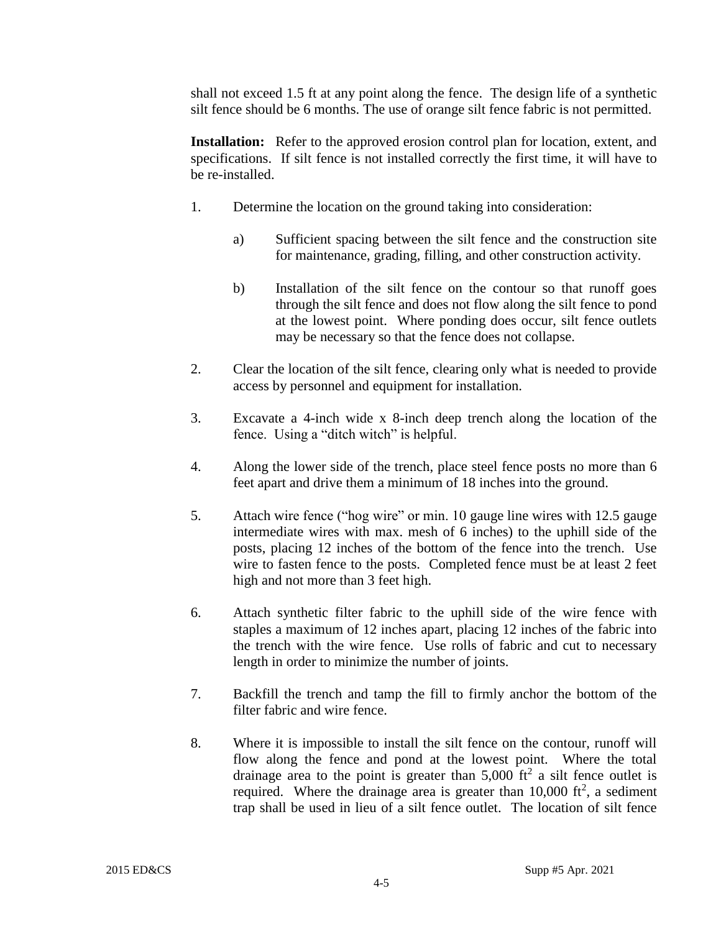shall not exceed 1.5 ft at any point along the fence. The design life of a synthetic silt fence should be 6 months. The use of orange silt fence fabric is not permitted.

**Installation:** Refer to the approved erosion control plan for location, extent, and specifications. If silt fence is not installed correctly the first time, it will have to be re-installed.

- 1. Determine the location on the ground taking into consideration:
	- a) Sufficient spacing between the silt fence and the construction site for maintenance, grading, filling, and other construction activity.
	- b) Installation of the silt fence on the contour so that runoff goes through the silt fence and does not flow along the silt fence to pond at the lowest point. Where ponding does occur, silt fence outlets may be necessary so that the fence does not collapse.
- 2. Clear the location of the silt fence, clearing only what is needed to provide access by personnel and equipment for installation.
- 3. Excavate a 4-inch wide x 8-inch deep trench along the location of the fence. Using a "ditch witch" is helpful.
- 4. Along the lower side of the trench, place steel fence posts no more than 6 feet apart and drive them a minimum of 18 inches into the ground.
- 5. Attach wire fence ("hog wire" or min. 10 gauge line wires with 12.5 gauge intermediate wires with max. mesh of 6 inches) to the uphill side of the posts, placing 12 inches of the bottom of the fence into the trench. Use wire to fasten fence to the posts. Completed fence must be at least 2 feet high and not more than 3 feet high.
- 6. Attach synthetic filter fabric to the uphill side of the wire fence with staples a maximum of 12 inches apart, placing 12 inches of the fabric into the trench with the wire fence. Use rolls of fabric and cut to necessary length in order to minimize the number of joints.
- 7. Backfill the trench and tamp the fill to firmly anchor the bottom of the filter fabric and wire fence.
- 8. Where it is impossible to install the silt fence on the contour, runoff will flow along the fence and pond at the lowest point. Where the total drainage area to the point is greater than  $5,000$  ft<sup>2</sup> a silt fence outlet is required. Where the drainage area is greater than  $10,000$  ft<sup>2</sup>, a sediment trap shall be used in lieu of a silt fence outlet. The location of silt fence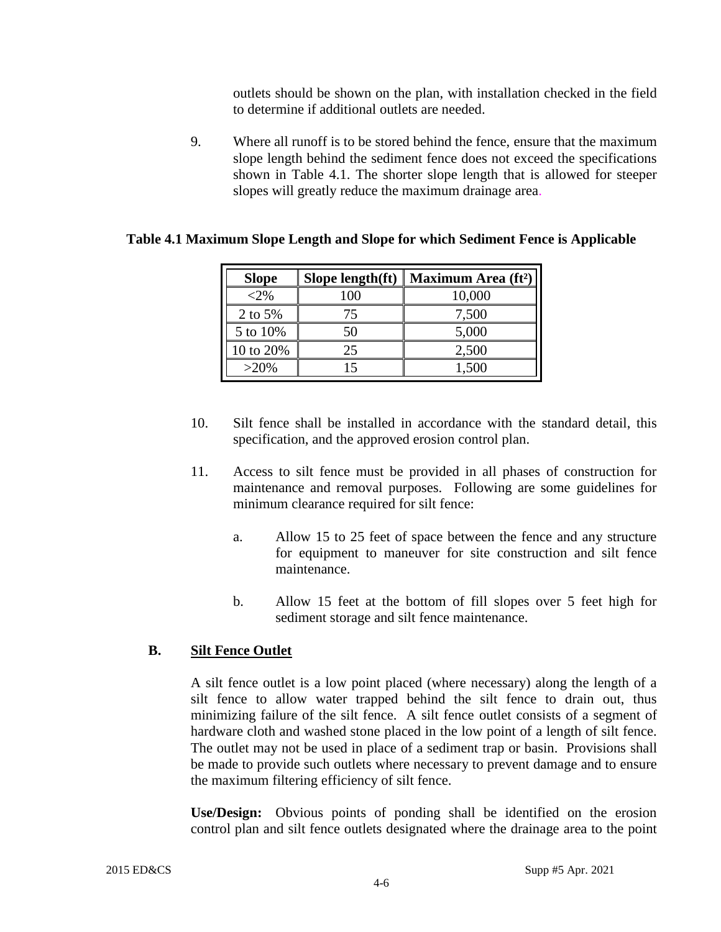outlets should be shown on the plan, with installation checked in the field to determine if additional outlets are needed.

9. Where all runoff is to be stored behind the fence, ensure that the maximum slope length behind the sediment fence does not exceed the specifications shown in Table 4.1. The shorter slope length that is allowed for steeper slopes will greatly reduce the maximum drainage area.

| <b>Slope</b> | Slope length(ft) $\vert$ | Maximum Area (ft <sup>2</sup> ) |
|--------------|--------------------------|---------------------------------|
| $< 2\%$      | 100                      | 10,000                          |
| 2 to 5%      | 75                       | 7,500                           |
| 5 to 10%     | 50                       | 5,000                           |
| 10 to 20%    | 25                       | 2,500                           |
| $>20\%$      |                          | 1,500                           |

#### **Table 4.1 Maximum Slope Length and Slope for which Sediment Fence is Applicable**

- 10. Silt fence shall be installed in accordance with the standard detail, this specification, and the approved erosion control plan.
- 11. Access to silt fence must be provided in all phases of construction for maintenance and removal purposes. Following are some guidelines for minimum clearance required for silt fence:
	- a. Allow 15 to 25 feet of space between the fence and any structure for equipment to maneuver for site construction and silt fence maintenance.
	- b. Allow 15 feet at the bottom of fill slopes over 5 feet high for sediment storage and silt fence maintenance.

# **B. Silt Fence Outlet**

A silt fence outlet is a low point placed (where necessary) along the length of a silt fence to allow water trapped behind the silt fence to drain out, thus minimizing failure of the silt fence. A silt fence outlet consists of a segment of hardware cloth and washed stone placed in the low point of a length of silt fence. The outlet may not be used in place of a sediment trap or basin. Provisions shall be made to provide such outlets where necessary to prevent damage and to ensure the maximum filtering efficiency of silt fence.

**Use/Design:** Obvious points of ponding shall be identified on the erosion control plan and silt fence outlets designated where the drainage area to the point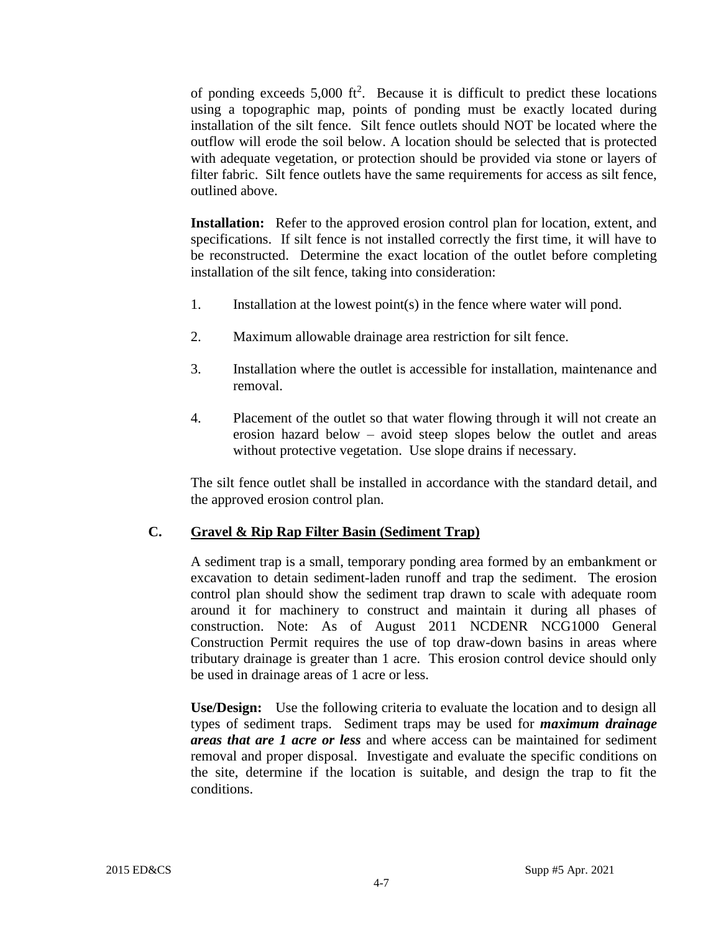of ponding exceeds  $5,000$  ft<sup>2</sup>. Because it is difficult to predict these locations using a topographic map, points of ponding must be exactly located during installation of the silt fence. Silt fence outlets should NOT be located where the outflow will erode the soil below. A location should be selected that is protected with adequate vegetation, or protection should be provided via stone or layers of filter fabric. Silt fence outlets have the same requirements for access as silt fence, outlined above.

**Installation:** Refer to the approved erosion control plan for location, extent, and specifications. If silt fence is not installed correctly the first time, it will have to be reconstructed. Determine the exact location of the outlet before completing installation of the silt fence, taking into consideration:

- 1. Installation at the lowest point(s) in the fence where water will pond.
- 2. Maximum allowable drainage area restriction for silt fence.
- 3. Installation where the outlet is accessible for installation, maintenance and removal.
- 4. Placement of the outlet so that water flowing through it will not create an erosion hazard below – avoid steep slopes below the outlet and areas without protective vegetation. Use slope drains if necessary.

The silt fence outlet shall be installed in accordance with the standard detail, and the approved erosion control plan.

# **C. Gravel & Rip Rap Filter Basin (Sediment Trap)**

A sediment trap is a small, temporary ponding area formed by an embankment or excavation to detain sediment-laden runoff and trap the sediment. The erosion control plan should show the sediment trap drawn to scale with adequate room around it for machinery to construct and maintain it during all phases of construction. Note: As of August 2011 NCDENR NCG1000 General Construction Permit requires the use of top draw-down basins in areas where tributary drainage is greater than 1 acre. This erosion control device should only be used in drainage areas of 1 acre or less.

**Use/Design:** Use the following criteria to evaluate the location and to design all types of sediment traps. Sediment traps may be used for *maximum drainage areas that are 1 acre or less* and where access can be maintained for sediment removal and proper disposal. Investigate and evaluate the specific conditions on the site, determine if the location is suitable, and design the trap to fit the conditions.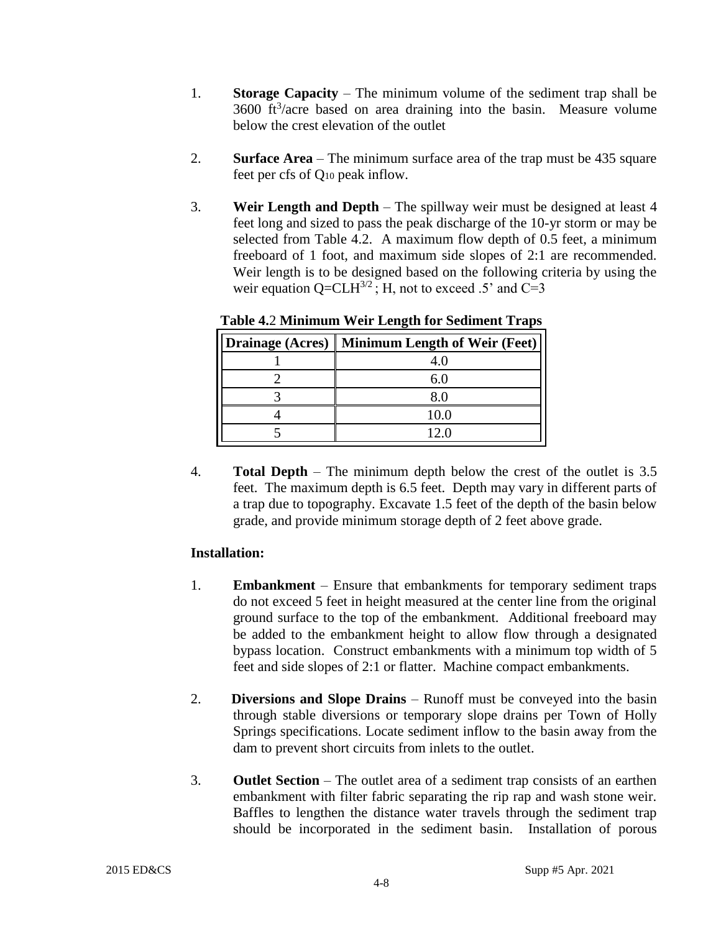- 1. **Storage Capacity** The minimum volume of the sediment trap shall be  $3600 \text{ ft}^3/\text{acre}$  based on area draining into the basin. Measure volume below the crest elevation of the outlet
- 2. **Surface Area** The minimum surface area of the trap must be 435 square feet per cfs of Q<sup>10</sup> peak inflow.
- 3. **Weir Length and Depth**  The spillway weir must be designed at least 4 feet long and sized to pass the peak discharge of the 10-yr storm or may be selected from Table 4.2. A maximum flow depth of 0.5 feet, a minimum freeboard of 1 foot, and maximum side slopes of 2:1 are recommended. Weir length is to be designed based on the following criteria by using the weir equation  $Q=CLH^{3/2}$ ; H, not to exceed .5' and C=3

| <b>Drainage (Acres)</b> Minimum Length of Weir (Feet) |
|-------------------------------------------------------|
|                                                       |
|                                                       |
|                                                       |
| 10.0                                                  |
| 12 በ                                                  |

**Table 4.**2 **Minimum Weir Length for Sediment Traps** 

4. **Total Depth** – The minimum depth below the crest of the outlet is 3.5 feet. The maximum depth is 6.5 feet. Depth may vary in different parts of a trap due to topography. Excavate 1.5 feet of the depth of the basin below grade, and provide minimum storage depth of 2 feet above grade.

# **Installation:**

- 1. **Embankment**  Ensure that embankments for temporary sediment traps do not exceed 5 feet in height measured at the center line from the original ground surface to the top of the embankment. Additional freeboard may be added to the embankment height to allow flow through a designated bypass location. Construct embankments with a minimum top width of 5 feet and side slopes of 2:1 or flatter. Machine compact embankments.
- 2. **Diversions and Slope Drains**  Runoff must be conveyed into the basin through stable diversions or temporary slope drains per Town of Holly Springs specifications. Locate sediment inflow to the basin away from the dam to prevent short circuits from inlets to the outlet.
- 3. **Outlet Section** The outlet area of a sediment trap consists of an earthen embankment with filter fabric separating the rip rap and wash stone weir. Baffles to lengthen the distance water travels through the sediment trap should be incorporated in the sediment basin. Installation of porous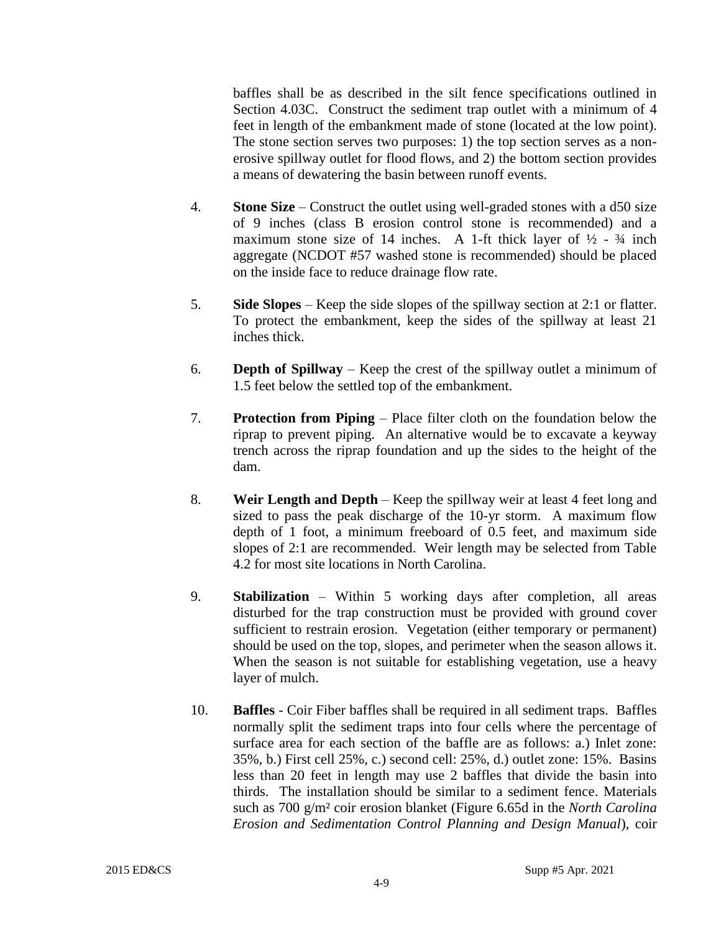baffles shall be as described in the silt fence specifications outlined in Section 4.03C. Construct the sediment trap outlet with a minimum of 4 feet in length of the embankment made of stone (located at the low point). The stone section serves two purposes: 1) the top section serves as a nonerosive spillway outlet for flood flows, and 2) the bottom section provides a means of dewatering the basin between runoff events.

- 4. **Stone Size**  Construct the outlet using well-graded stones with a d50 size of 9 inches (class B erosion control stone is recommended) and a maximum stone size of 14 inches. A 1-ft thick layer of  $\frac{1}{2}$  -  $\frac{3}{4}$  inch aggregate (NCDOT #57 washed stone is recommended) should be placed on the inside face to reduce drainage flow rate.
- 5. **Side Slopes**  Keep the side slopes of the spillway section at 2:1 or flatter. To protect the embankment, keep the sides of the spillway at least 21 inches thick.
- 6. **Depth of Spillway**  Keep the crest of the spillway outlet a minimum of 1.5 feet below the settled top of the embankment.
- 7. **Protection from Piping**  Place filter cloth on the foundation below the riprap to prevent piping. An alternative would be to excavate a keyway trench across the riprap foundation and up the sides to the height of the dam.
- 8. **Weir Length and Depth**  Keep the spillway weir at least 4 feet long and sized to pass the peak discharge of the 10-yr storm. A maximum flow depth of 1 foot, a minimum freeboard of 0.5 feet, and maximum side slopes of 2:1 are recommended. Weir length may be selected from Table 4.2 for most site locations in North Carolina.
- 9. **Stabilization**  Within 5 working days after completion, all areas disturbed for the trap construction must be provided with ground cover sufficient to restrain erosion. Vegetation (either temporary or permanent) should be used on the top, slopes, and perimeter when the season allows it. When the season is not suitable for establishing vegetation, use a heavy layer of mulch.
- 10. **Baffles**  Coir Fiber baffles shall be required in all sediment traps. Baffles normally split the sediment traps into four cells where the percentage of surface area for each section of the baffle are as follows: a.) Inlet zone: 35%, b.) First cell 25%, c.) second cell: 25%, d.) outlet zone: 15%. Basins less than 20 feet in length may use 2 baffles that divide the basin into thirds. The installation should be similar to a sediment fence. Materials such as 700 g/m² coir erosion blanket (Figure 6.65d in the *North Carolina Erosion and Sedimentation Control Planning and Design Manual*), coir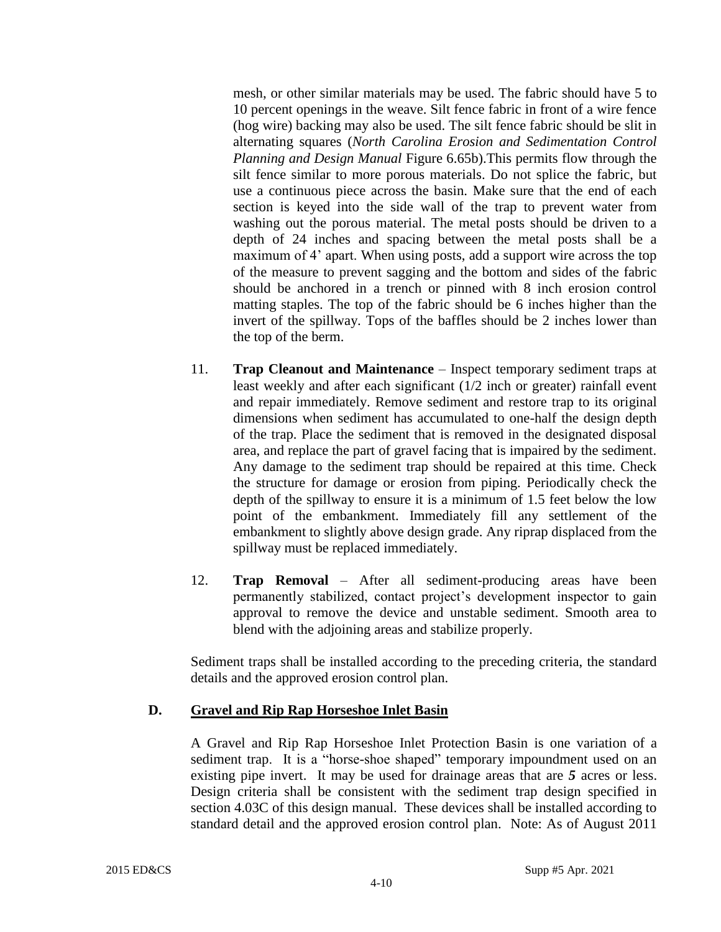mesh, or other similar materials may be used. The fabric should have 5 to 10 percent openings in the weave. Silt fence fabric in front of a wire fence (hog wire) backing may also be used. The silt fence fabric should be slit in alternating squares (*North Carolina Erosion and Sedimentation Control Planning and Design Manual* Figure 6.65b).This permits flow through the silt fence similar to more porous materials. Do not splice the fabric, but use a continuous piece across the basin. Make sure that the end of each section is keyed into the side wall of the trap to prevent water from washing out the porous material. The metal posts should be driven to a depth of 24 inches and spacing between the metal posts shall be a maximum of 4' apart. When using posts, add a support wire across the top of the measure to prevent sagging and the bottom and sides of the fabric should be anchored in a trench or pinned with 8 inch erosion control matting staples. The top of the fabric should be 6 inches higher than the invert of the spillway. Tops of the baffles should be 2 inches lower than the top of the berm.

- 11. **Trap Cleanout and Maintenance** Inspect temporary sediment traps at least weekly and after each significant (1/2 inch or greater) rainfall event and repair immediately. Remove sediment and restore trap to its original dimensions when sediment has accumulated to one-half the design depth of the trap. Place the sediment that is removed in the designated disposal area, and replace the part of gravel facing that is impaired by the sediment. Any damage to the sediment trap should be repaired at this time. Check the structure for damage or erosion from piping. Periodically check the depth of the spillway to ensure it is a minimum of 1.5 feet below the low point of the embankment. Immediately fill any settlement of the embankment to slightly above design grade. Any riprap displaced from the spillway must be replaced immediately.
- 12. **Trap Removal** After all sediment-producing areas have been permanently stabilized, contact project's development inspector to gain approval to remove the device and unstable sediment. Smooth area to blend with the adjoining areas and stabilize properly.

Sediment traps shall be installed according to the preceding criteria, the standard details and the approved erosion control plan.

#### **D. Gravel and Rip Rap Horseshoe Inlet Basin**

A Gravel and Rip Rap Horseshoe Inlet Protection Basin is one variation of a sediment trap. It is a "horse-shoe shaped" temporary impoundment used on an existing pipe invert. It may be used for drainage areas that are *5* acres or less. Design criteria shall be consistent with the sediment trap design specified in section 4.03C of this design manual. These devices shall be installed according to standard detail and the approved erosion control plan. Note: As of August 2011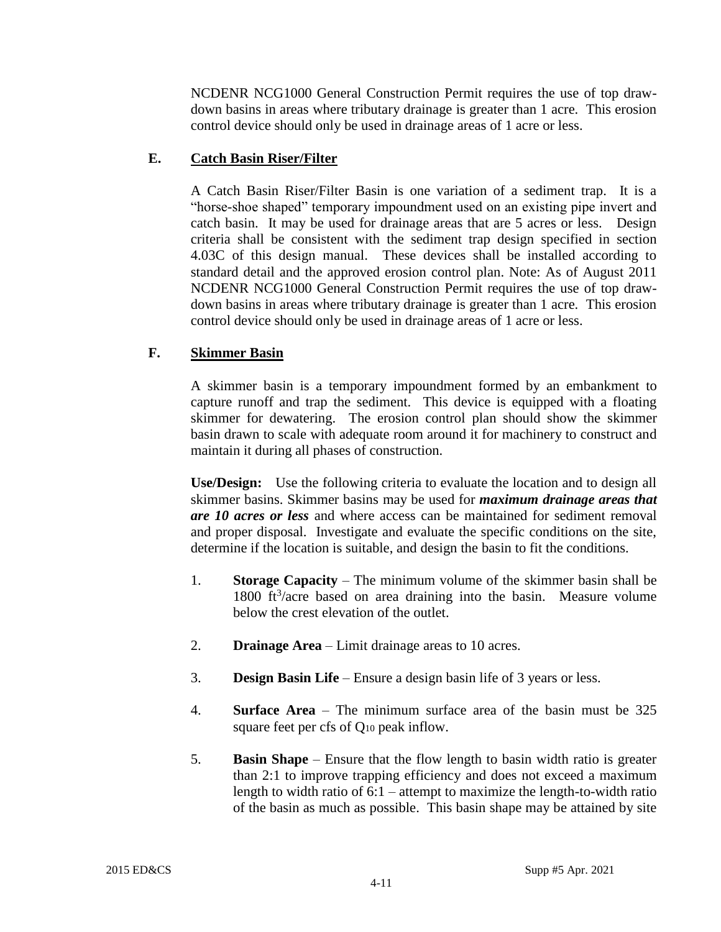NCDENR NCG1000 General Construction Permit requires the use of top drawdown basins in areas where tributary drainage is greater than 1 acre. This erosion control device should only be used in drainage areas of 1 acre or less.

# **E. Catch Basin Riser/Filter**

A Catch Basin Riser/Filter Basin is one variation of a sediment trap. It is a "horse-shoe shaped" temporary impoundment used on an existing pipe invert and catch basin. It may be used for drainage areas that are 5 acres or less. Design criteria shall be consistent with the sediment trap design specified in section 4.03C of this design manual. These devices shall be installed according to standard detail and the approved erosion control plan. Note: As of August 2011 NCDENR NCG1000 General Construction Permit requires the use of top drawdown basins in areas where tributary drainage is greater than 1 acre. This erosion control device should only be used in drainage areas of 1 acre or less.

# **F. Skimmer Basin**

A skimmer basin is a temporary impoundment formed by an embankment to capture runoff and trap the sediment. This device is equipped with a floating skimmer for dewatering. The erosion control plan should show the skimmer basin drawn to scale with adequate room around it for machinery to construct and maintain it during all phases of construction.

**Use/Design:** Use the following criteria to evaluate the location and to design all skimmer basins. Skimmer basins may be used for *maximum drainage areas that are 10 acres or less* and where access can be maintained for sediment removal and proper disposal. Investigate and evaluate the specific conditions on the site, determine if the location is suitable, and design the basin to fit the conditions.

- 1. **Storage Capacity** The minimum volume of the skimmer basin shall be 1800  $ft^3/acre$  based on area draining into the basin. Measure volume below the crest elevation of the outlet.
- 2. **Drainage Area** Limit drainage areas to 10 acres.
- 3. **Design Basin Life**  Ensure a design basin life of 3 years or less.
- 4. **Surface Area** The minimum surface area of the basin must be 325 square feet per cfs of Q<sup>10</sup> peak inflow.
- 5. **Basin Shape**  Ensure that the flow length to basin width ratio is greater than 2:1 to improve trapping efficiency and does not exceed a maximum length to width ratio of 6:1 – attempt to maximize the length-to-width ratio of the basin as much as possible. This basin shape may be attained by site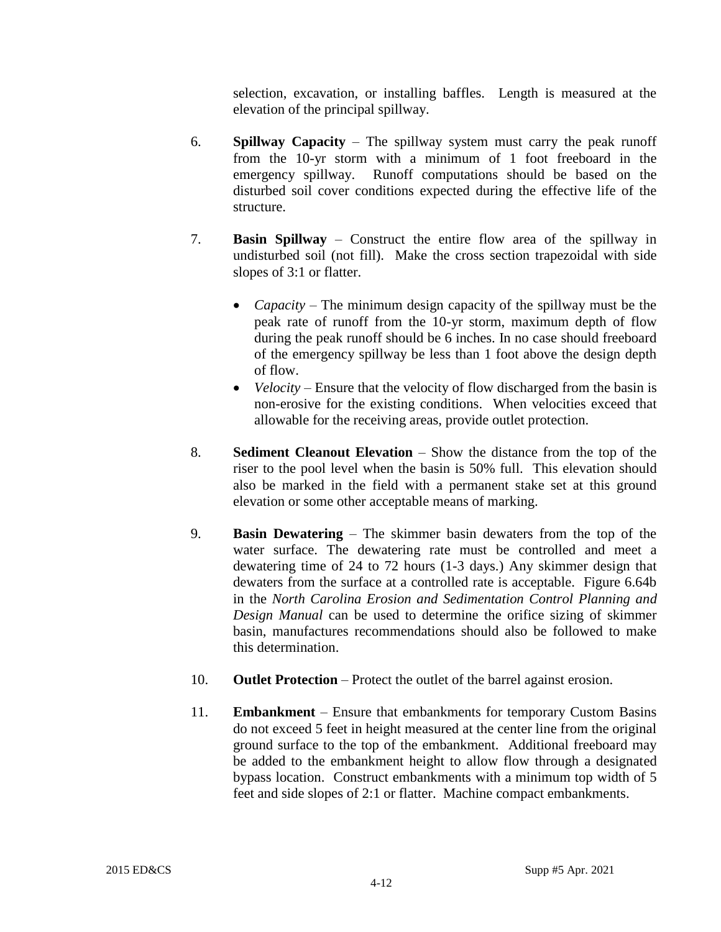selection, excavation, or installing baffles. Length is measured at the elevation of the principal spillway.

- 6. **Spillway Capacity**  The spillway system must carry the peak runoff from the 10-yr storm with a minimum of 1 foot freeboard in the emergency spillway. Runoff computations should be based on the disturbed soil cover conditions expected during the effective life of the structure.
- 7. **Basin Spillway**  Construct the entire flow area of the spillway in undisturbed soil (not fill). Make the cross section trapezoidal with side slopes of 3:1 or flatter.
	- *Capacity* The minimum design capacity of the spillway must be the peak rate of runoff from the 10-yr storm, maximum depth of flow during the peak runoff should be 6 inches. In no case should freeboard of the emergency spillway be less than 1 foot above the design depth of flow.
	- *Velocity* Ensure that the velocity of flow discharged from the basin is non-erosive for the existing conditions. When velocities exceed that allowable for the receiving areas, provide outlet protection.
- 8. **Sediment Cleanout Elevation** Show the distance from the top of the riser to the pool level when the basin is 50% full. This elevation should also be marked in the field with a permanent stake set at this ground elevation or some other acceptable means of marking.
- 9. **Basin Dewatering** The skimmer basin dewaters from the top of the water surface. The dewatering rate must be controlled and meet a dewatering time of 24 to 72 hours (1-3 days.) Any skimmer design that dewaters from the surface at a controlled rate is acceptable. Figure 6.64b in the *North Carolina Erosion and Sedimentation Control Planning and Design Manual* can be used to determine the orifice sizing of skimmer basin, manufactures recommendations should also be followed to make this determination.
- 10. **Outlet Protection** Protect the outlet of the barrel against erosion.
- 11. **Embankment** Ensure that embankments for temporary Custom Basins do not exceed 5 feet in height measured at the center line from the original ground surface to the top of the embankment. Additional freeboard may be added to the embankment height to allow flow through a designated bypass location. Construct embankments with a minimum top width of 5 feet and side slopes of 2:1 or flatter. Machine compact embankments.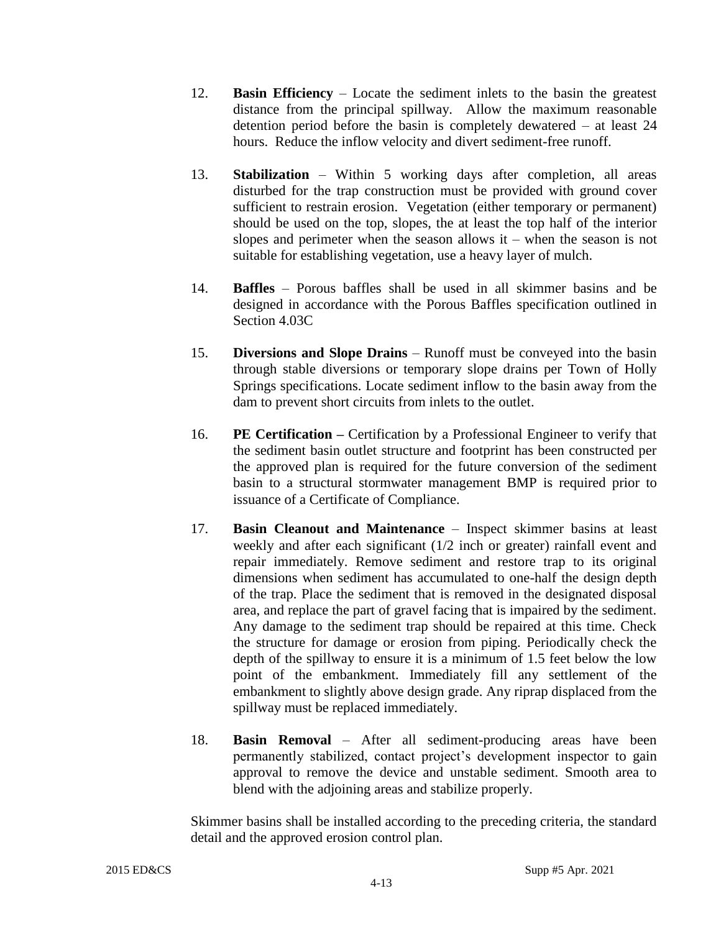- 12. **Basin Efficiency** Locate the sediment inlets to the basin the greatest distance from the principal spillway. Allow the maximum reasonable detention period before the basin is completely dewatered – at least 24 hours. Reduce the inflow velocity and divert sediment-free runoff.
- 13. **Stabilization**  Within 5 working days after completion, all areas disturbed for the trap construction must be provided with ground cover sufficient to restrain erosion. Vegetation (either temporary or permanent) should be used on the top, slopes, the at least the top half of the interior slopes and perimeter when the season allows  $it$  – when the season is not suitable for establishing vegetation, use a heavy layer of mulch.
- 14. **Baffles**  Porous baffles shall be used in all skimmer basins and be designed in accordance with the Porous Baffles specification outlined in Section 4.03C
- 15. **Diversions and Slope Drains**  Runoff must be conveyed into the basin through stable diversions or temporary slope drains per Town of Holly Springs specifications. Locate sediment inflow to the basin away from the dam to prevent short circuits from inlets to the outlet.
- 16. **PE Certification –** Certification by a Professional Engineer to verify that the sediment basin outlet structure and footprint has been constructed per the approved plan is required for the future conversion of the sediment basin to a structural stormwater management BMP is required prior to issuance of a Certificate of Compliance.
- 17. **Basin Cleanout and Maintenance** Inspect skimmer basins at least weekly and after each significant (1/2 inch or greater) rainfall event and repair immediately. Remove sediment and restore trap to its original dimensions when sediment has accumulated to one-half the design depth of the trap. Place the sediment that is removed in the designated disposal area, and replace the part of gravel facing that is impaired by the sediment. Any damage to the sediment trap should be repaired at this time. Check the structure for damage or erosion from piping. Periodically check the depth of the spillway to ensure it is a minimum of 1.5 feet below the low point of the embankment. Immediately fill any settlement of the embankment to slightly above design grade. Any riprap displaced from the spillway must be replaced immediately.
- 18. **Basin Removal** After all sediment-producing areas have been permanently stabilized, contact project's development inspector to gain approval to remove the device and unstable sediment. Smooth area to blend with the adjoining areas and stabilize properly.

Skimmer basins shall be installed according to the preceding criteria, the standard detail and the approved erosion control plan.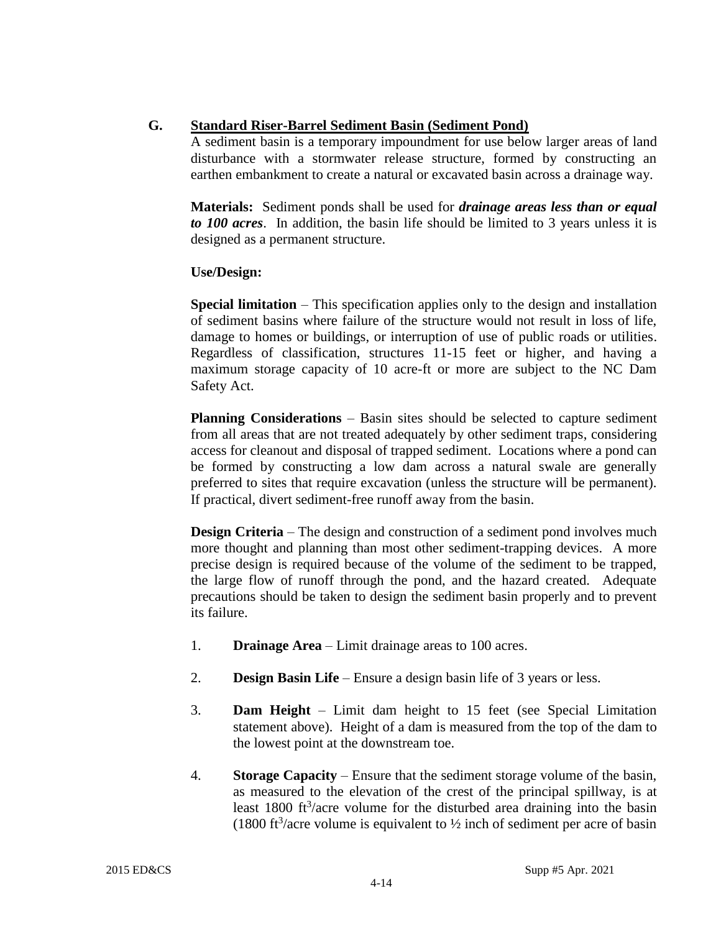# **G. Standard Riser-Barrel Sediment Basin (Sediment Pond)**

A sediment basin is a temporary impoundment for use below larger areas of land disturbance with a stormwater release structure, formed by constructing an earthen embankment to create a natural or excavated basin across a drainage way.

**Materials:** Sediment ponds shall be used for *drainage areas less than or equal to 100 acres*. In addition, the basin life should be limited to 3 years unless it is designed as a permanent structure.

# **Use/Design:**

**Special limitation** – This specification applies only to the design and installation of sediment basins where failure of the structure would not result in loss of life, damage to homes or buildings, or interruption of use of public roads or utilities. Regardless of classification, structures 11-15 feet or higher, and having a maximum storage capacity of 10 acre-ft or more are subject to the NC Dam Safety Act.

**Planning Considerations** – Basin sites should be selected to capture sediment from all areas that are not treated adequately by other sediment traps, considering access for cleanout and disposal of trapped sediment. Locations where a pond can be formed by constructing a low dam across a natural swale are generally preferred to sites that require excavation (unless the structure will be permanent). If practical, divert sediment-free runoff away from the basin.

**Design Criteria** – The design and construction of a sediment pond involves much more thought and planning than most other sediment-trapping devices. A more precise design is required because of the volume of the sediment to be trapped, the large flow of runoff through the pond, and the hazard created. Adequate precautions should be taken to design the sediment basin properly and to prevent its failure.

- 1. **Drainage Area** Limit drainage areas to 100 acres.
- 2. **Design Basin Life**  Ensure a design basin life of 3 years or less.
- 3. **Dam Height**  Limit dam height to 15 feet (see Special Limitation statement above). Height of a dam is measured from the top of the dam to the lowest point at the downstream toe.
- 4. **Storage Capacity** Ensure that the sediment storage volume of the basin, as measured to the elevation of the crest of the principal spillway, is at least  $1800$  ft<sup>3</sup>/acre volume for the disturbed area draining into the basin (1800 ft<sup>3</sup>/acre volume is equivalent to  $\frac{1}{2}$  inch of sediment per acre of basin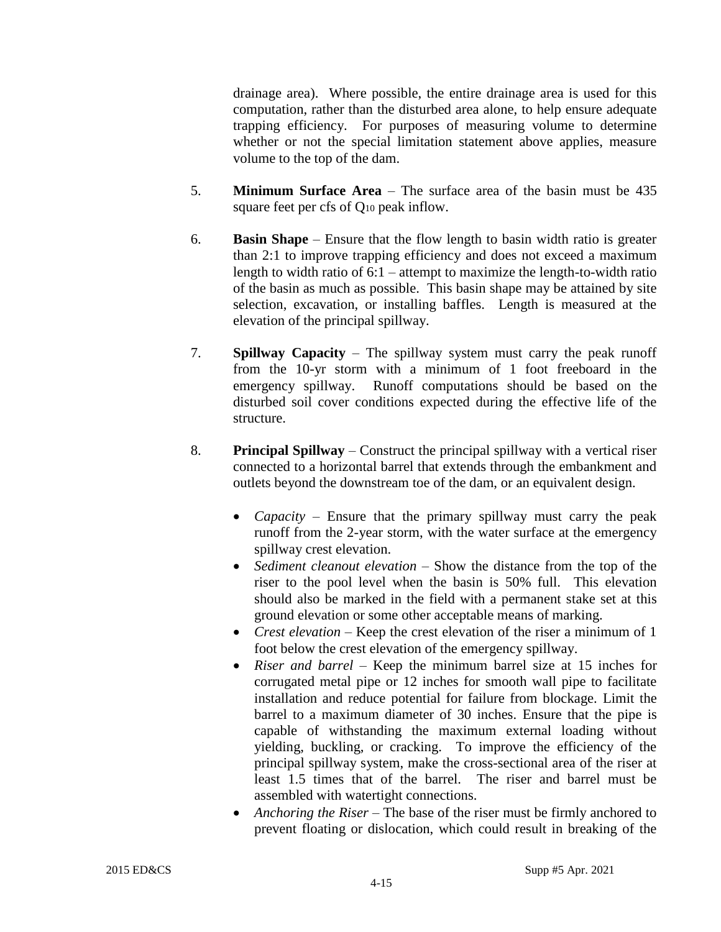drainage area). Where possible, the entire drainage area is used for this computation, rather than the disturbed area alone, to help ensure adequate trapping efficiency. For purposes of measuring volume to determine whether or not the special limitation statement above applies, measure volume to the top of the dam.

- 5. **Minimum Surface Area** The surface area of the basin must be 435 square feet per cfs of Q<sup>10</sup> peak inflow.
- 6. **Basin Shape**  Ensure that the flow length to basin width ratio is greater than 2:1 to improve trapping efficiency and does not exceed a maximum length to width ratio of 6:1 – attempt to maximize the length-to-width ratio of the basin as much as possible. This basin shape may be attained by site selection, excavation, or installing baffles. Length is measured at the elevation of the principal spillway.
- 7. **Spillway Capacity**  The spillway system must carry the peak runoff from the 10-yr storm with a minimum of 1 foot freeboard in the emergency spillway. Runoff computations should be based on the disturbed soil cover conditions expected during the effective life of the structure.
- 8. **Principal Spillway**  Construct the principal spillway with a vertical riser connected to a horizontal barrel that extends through the embankment and outlets beyond the downstream toe of the dam, or an equivalent design.
	- *Capacity* Ensure that the primary spillway must carry the peak runoff from the 2-year storm, with the water surface at the emergency spillway crest elevation.
	- *Sediment cleanout elevation* Show the distance from the top of the riser to the pool level when the basin is 50% full. This elevation should also be marked in the field with a permanent stake set at this ground elevation or some other acceptable means of marking.
	- *Crest elevation* Keep the crest elevation of the riser a minimum of 1 foot below the crest elevation of the emergency spillway.
	- *Riser and barrel* Keep the minimum barrel size at 15 inches for corrugated metal pipe or 12 inches for smooth wall pipe to facilitate installation and reduce potential for failure from blockage. Limit the barrel to a maximum diameter of 30 inches. Ensure that the pipe is capable of withstanding the maximum external loading without yielding, buckling, or cracking. To improve the efficiency of the principal spillway system, make the cross-sectional area of the riser at least 1.5 times that of the barrel. The riser and barrel must be assembled with watertight connections.
	- *Anchoring the Riser* The base of the riser must be firmly anchored to prevent floating or dislocation, which could result in breaking of the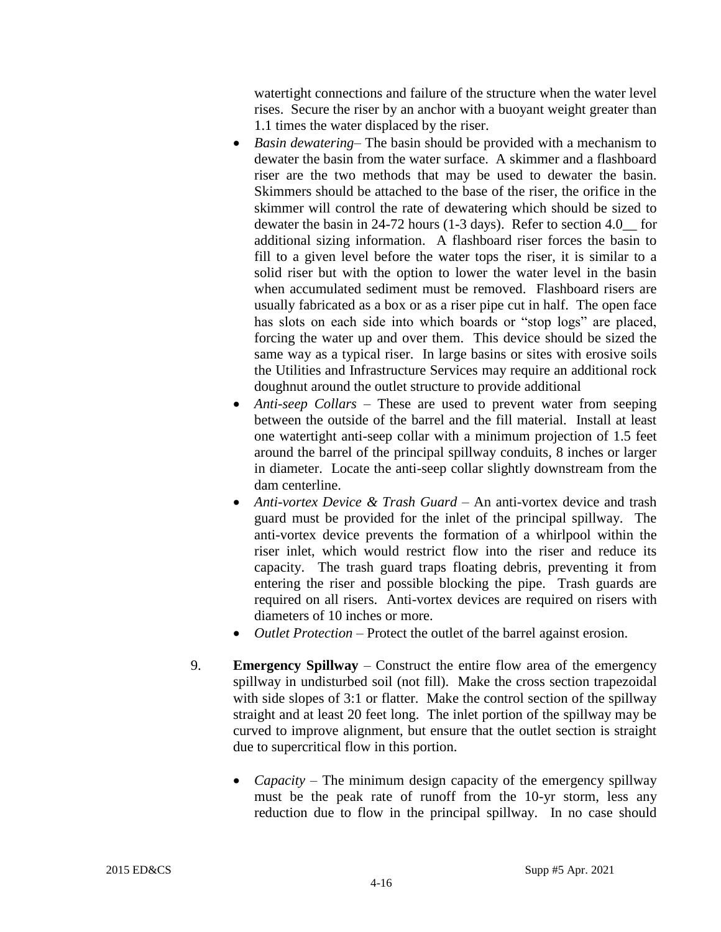watertight connections and failure of the structure when the water level rises. Secure the riser by an anchor with a buoyant weight greater than 1.1 times the water displaced by the riser.

- *Basin dewatering* The basin should be provided with a mechanism to dewater the basin from the water surface. A skimmer and a flashboard riser are the two methods that may be used to dewater the basin. Skimmers should be attached to the base of the riser, the orifice in the skimmer will control the rate of dewatering which should be sized to dewater the basin in 24-72 hours (1-3 days). Refer to section 4.0\_\_ for additional sizing information. A flashboard riser forces the basin to fill to a given level before the water tops the riser, it is similar to a solid riser but with the option to lower the water level in the basin when accumulated sediment must be removed. Flashboard risers are usually fabricated as a box or as a riser pipe cut in half. The open face has slots on each side into which boards or "stop logs" are placed, forcing the water up and over them. This device should be sized the same way as a typical riser. In large basins or sites with erosive soils the Utilities and Infrastructure Services may require an additional rock doughnut around the outlet structure to provide additional
- *Anti-seep Collars* These are used to prevent water from seeping between the outside of the barrel and the fill material. Install at least one watertight anti-seep collar with a minimum projection of 1.5 feet around the barrel of the principal spillway conduits, 8 inches or larger in diameter. Locate the anti-seep collar slightly downstream from the dam centerline.
- *Anti-vortex Device & Trash Guard An anti-vortex device and trash* guard must be provided for the inlet of the principal spillway. The anti-vortex device prevents the formation of a whirlpool within the riser inlet, which would restrict flow into the riser and reduce its capacity. The trash guard traps floating debris, preventing it from entering the riser and possible blocking the pipe. Trash guards are required on all risers. Anti-vortex devices are required on risers with diameters of 10 inches or more.
- *Outlet Protection*  Protect the outlet of the barrel against erosion.
- 9. **Emergency Spillway** Construct the entire flow area of the emergency spillway in undisturbed soil (not fill). Make the cross section trapezoidal with side slopes of 3:1 or flatter. Make the control section of the spillway straight and at least 20 feet long. The inlet portion of the spillway may be curved to improve alignment, but ensure that the outlet section is straight due to supercritical flow in this portion.
	- *Capacity* The minimum design capacity of the emergency spillway must be the peak rate of runoff from the 10-yr storm, less any reduction due to flow in the principal spillway. In no case should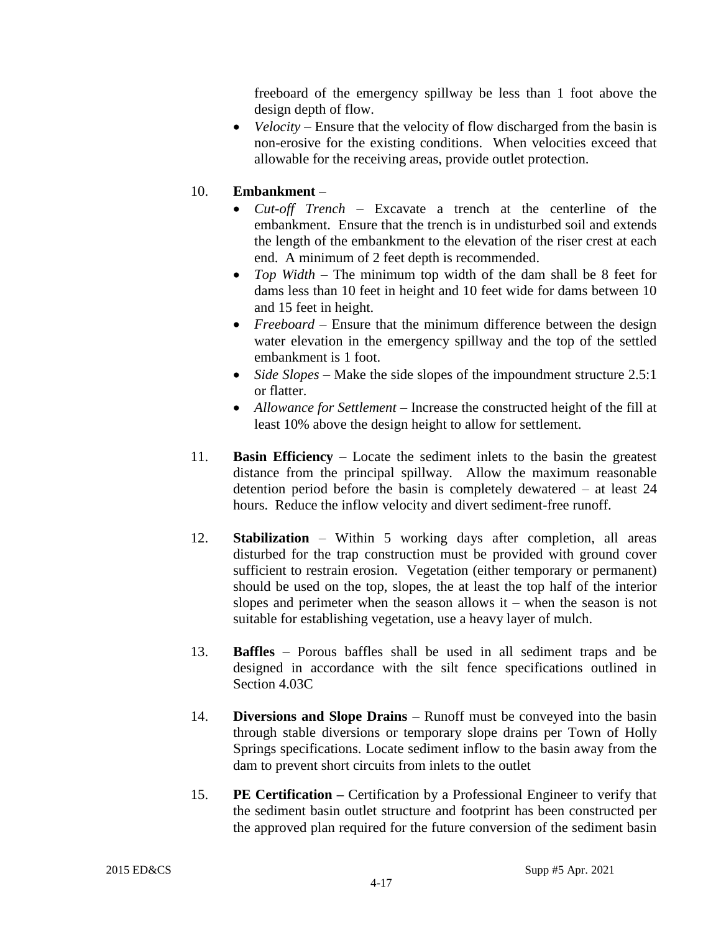freeboard of the emergency spillway be less than 1 foot above the design depth of flow.

• *Velocity* – Ensure that the velocity of flow discharged from the basin is non-erosive for the existing conditions. When velocities exceed that allowable for the receiving areas, provide outlet protection.

# 10. **Embankment** –

- *Cut-off Trench* Excavate a trench at the centerline of the embankment. Ensure that the trench is in undisturbed soil and extends the length of the embankment to the elevation of the riser crest at each end. A minimum of 2 feet depth is recommended.
- *Top Width*  The minimum top width of the dam shall be 8 feet for dams less than 10 feet in height and 10 feet wide for dams between 10 and 15 feet in height.
- *Freeboard* Ensure that the minimum difference between the design water elevation in the emergency spillway and the top of the settled embankment is 1 foot.
- *Side Slopes* Make the side slopes of the impoundment structure 2.5:1 or flatter.
- *Allowance for Settlement* Increase the constructed height of the fill at least 10% above the design height to allow for settlement.
- 11. **Basin Efficiency** Locate the sediment inlets to the basin the greatest distance from the principal spillway. Allow the maximum reasonable detention period before the basin is completely dewatered – at least 24 hours. Reduce the inflow velocity and divert sediment-free runoff.
- 12. **Stabilization**  Within 5 working days after completion, all areas disturbed for the trap construction must be provided with ground cover sufficient to restrain erosion. Vegetation (either temporary or permanent) should be used on the top, slopes, the at least the top half of the interior slopes and perimeter when the season allows  $it$  – when the season is not suitable for establishing vegetation, use a heavy layer of mulch.
- 13. **Baffles**  Porous baffles shall be used in all sediment traps and be designed in accordance with the silt fence specifications outlined in Section 4.03C
- 14. **Diversions and Slope Drains**  Runoff must be conveyed into the basin through stable diversions or temporary slope drains per Town of Holly Springs specifications. Locate sediment inflow to the basin away from the dam to prevent short circuits from inlets to the outlet
- 15. **PE Certification –** Certification by a Professional Engineer to verify that the sediment basin outlet structure and footprint has been constructed per the approved plan required for the future conversion of the sediment basin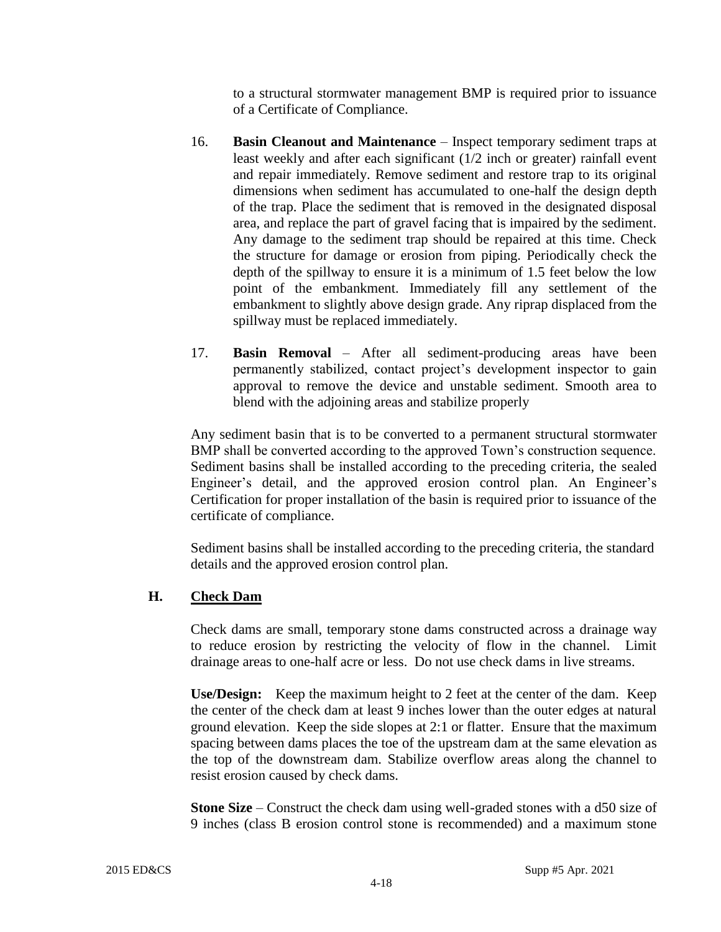to a structural stormwater management BMP is required prior to issuance of a Certificate of Compliance.

- 16. **Basin Cleanout and Maintenance** Inspect temporary sediment traps at least weekly and after each significant (1/2 inch or greater) rainfall event and repair immediately. Remove sediment and restore trap to its original dimensions when sediment has accumulated to one-half the design depth of the trap. Place the sediment that is removed in the designated disposal area, and replace the part of gravel facing that is impaired by the sediment. Any damage to the sediment trap should be repaired at this time. Check the structure for damage or erosion from piping. Periodically check the depth of the spillway to ensure it is a minimum of 1.5 feet below the low point of the embankment. Immediately fill any settlement of the embankment to slightly above design grade. Any riprap displaced from the spillway must be replaced immediately.
- 17. **Basin Removal** After all sediment-producing areas have been permanently stabilized, contact project's development inspector to gain approval to remove the device and unstable sediment. Smooth area to blend with the adjoining areas and stabilize properly

Any sediment basin that is to be converted to a permanent structural stormwater BMP shall be converted according to the approved Town's construction sequence. Sediment basins shall be installed according to the preceding criteria, the sealed Engineer's detail, and the approved erosion control plan. An Engineer's Certification for proper installation of the basin is required prior to issuance of the certificate of compliance.

Sediment basins shall be installed according to the preceding criteria, the standard details and the approved erosion control plan.

# **H. Check Dam**

Check dams are small, temporary stone dams constructed across a drainage way to reduce erosion by restricting the velocity of flow in the channel. Limit drainage areas to one-half acre or less. Do not use check dams in live streams.

**Use/Design:** Keep the maximum height to 2 feet at the center of the dam. Keep the center of the check dam at least 9 inches lower than the outer edges at natural ground elevation. Keep the side slopes at 2:1 or flatter. Ensure that the maximum spacing between dams places the toe of the upstream dam at the same elevation as the top of the downstream dam. Stabilize overflow areas along the channel to resist erosion caused by check dams.

**Stone Size** – Construct the check dam using well-graded stones with a d50 size of 9 inches (class B erosion control stone is recommended) and a maximum stone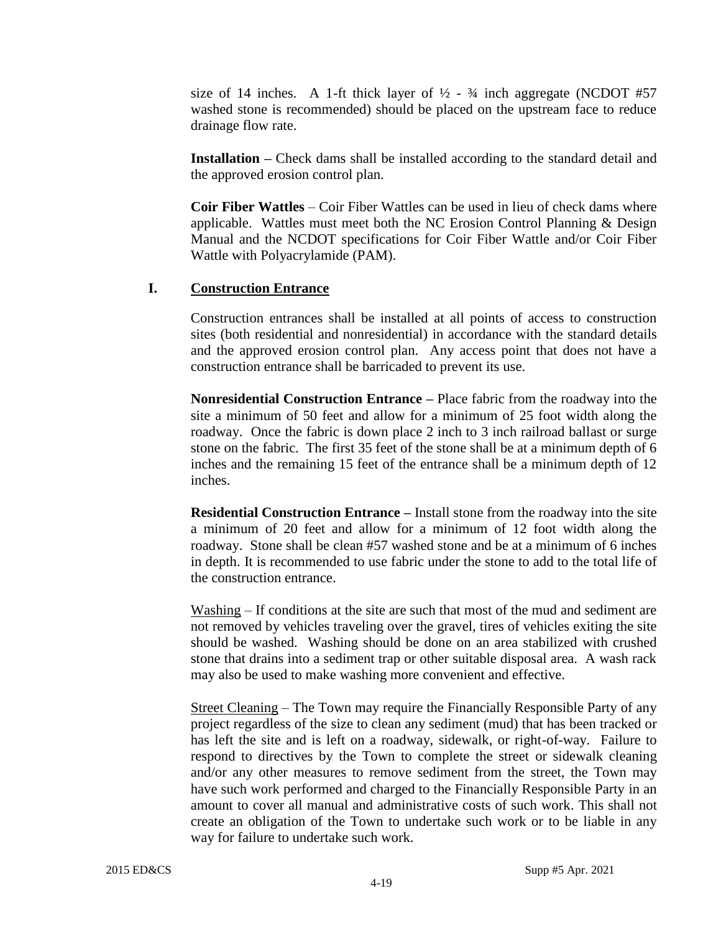size of 14 inches. A 1-ft thick layer of  $\frac{1}{2}$  -  $\frac{3}{4}$  inch aggregate (NCDOT #57 washed stone is recommended) should be placed on the upstream face to reduce drainage flow rate.

**Installation** – Check dams shall be installed according to the standard detail and the approved erosion control plan.

**Coir Fiber Wattles** – Coir Fiber Wattles can be used in lieu of check dams where applicable. Wattles must meet both the NC Erosion Control Planning & Design Manual and the NCDOT specifications for Coir Fiber Wattle and/or Coir Fiber Wattle with Polyacrylamide (PAM).

#### **I. Construction Entrance**

Construction entrances shall be installed at all points of access to construction sites (both residential and nonresidential) in accordance with the standard details and the approved erosion control plan. Any access point that does not have a construction entrance shall be barricaded to prevent its use.

**Nonresidential Construction Entrance –** Place fabric from the roadway into the site a minimum of 50 feet and allow for a minimum of 25 foot width along the roadway. Once the fabric is down place 2 inch to 3 inch railroad ballast or surge stone on the fabric. The first 35 feet of the stone shall be at a minimum depth of 6 inches and the remaining 15 feet of the entrance shall be a minimum depth of 12 inches.

**Residential Construction Entrance –** Install stone from the roadway into the site a minimum of 20 feet and allow for a minimum of 12 foot width along the roadway. Stone shall be clean #57 washed stone and be at a minimum of 6 inches in depth. It is recommended to use fabric under the stone to add to the total life of the construction entrance.

Washing – If conditions at the site are such that most of the mud and sediment are not removed by vehicles traveling over the gravel, tires of vehicles exiting the site should be washed. Washing should be done on an area stabilized with crushed stone that drains into a sediment trap or other suitable disposal area. A wash rack may also be used to make washing more convenient and effective.

Street Cleaning – The Town may require the Financially Responsible Party of any project regardless of the size to clean any sediment (mud) that has been tracked or has left the site and is left on a roadway, sidewalk, or right-of-way. Failure to respond to directives by the Town to complete the street or sidewalk cleaning and/or any other measures to remove sediment from the street, the Town may have such work performed and charged to the Financially Responsible Party in an amount to cover all manual and administrative costs of such work. This shall not create an obligation of the Town to undertake such work or to be liable in any way for failure to undertake such work.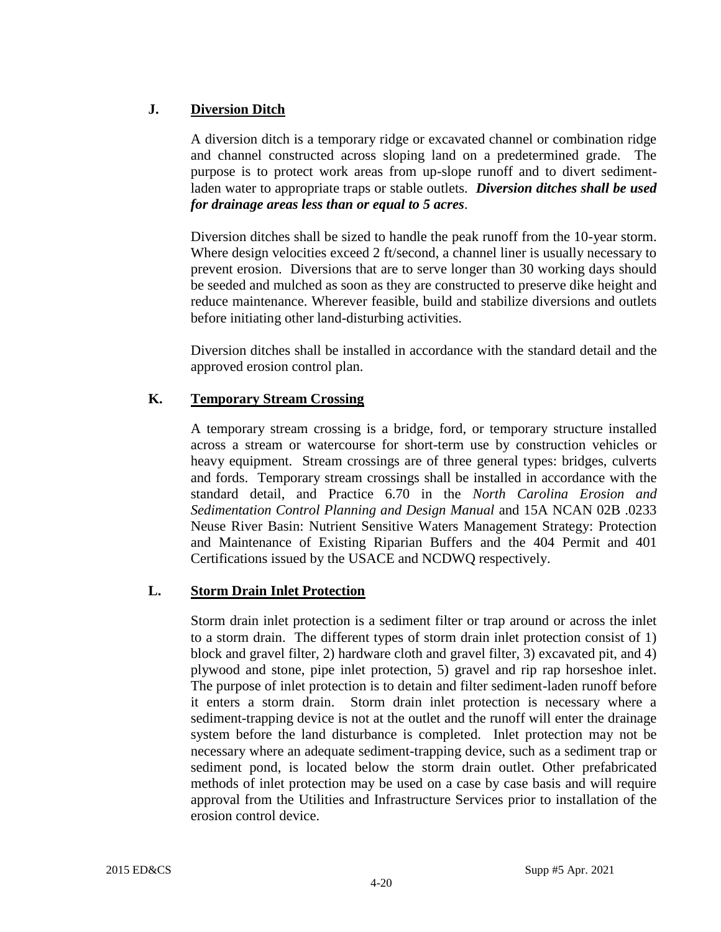# **J. Diversion Ditch**

A diversion ditch is a temporary ridge or excavated channel or combination ridge and channel constructed across sloping land on a predetermined grade. The purpose is to protect work areas from up-slope runoff and to divert sedimentladen water to appropriate traps or stable outlets. *Diversion ditches shall be used for drainage areas less than or equal to 5 acres*.

Diversion ditches shall be sized to handle the peak runoff from the 10-year storm. Where design velocities exceed 2 ft/second, a channel liner is usually necessary to prevent erosion. Diversions that are to serve longer than 30 working days should be seeded and mulched as soon as they are constructed to preserve dike height and reduce maintenance. Wherever feasible, build and stabilize diversions and outlets before initiating other land-disturbing activities.

Diversion ditches shall be installed in accordance with the standard detail and the approved erosion control plan.

# **K. Temporary Stream Crossing**

A temporary stream crossing is a bridge, ford, or temporary structure installed across a stream or watercourse for short-term use by construction vehicles or heavy equipment. Stream crossings are of three general types: bridges, culverts and fords. Temporary stream crossings shall be installed in accordance with the standard detail, and Practice 6.70 in the *North Carolina Erosion and Sedimentation Control Planning and Design Manual* and 15A NCAN 02B .0233 Neuse River Basin: Nutrient Sensitive Waters Management Strategy: Protection and Maintenance of Existing Riparian Buffers and the 404 Permit and 401 Certifications issued by the USACE and NCDWQ respectively.

# **L. Storm Drain Inlet Protection**

Storm drain inlet protection is a sediment filter or trap around or across the inlet to a storm drain. The different types of storm drain inlet protection consist of 1) block and gravel filter, 2) hardware cloth and gravel filter, 3) excavated pit, and 4) plywood and stone, pipe inlet protection, 5) gravel and rip rap horseshoe inlet. The purpose of inlet protection is to detain and filter sediment-laden runoff before it enters a storm drain. Storm drain inlet protection is necessary where a sediment-trapping device is not at the outlet and the runoff will enter the drainage system before the land disturbance is completed. Inlet protection may not be necessary where an adequate sediment-trapping device, such as a sediment trap or sediment pond, is located below the storm drain outlet. Other prefabricated methods of inlet protection may be used on a case by case basis and will require approval from the Utilities and Infrastructure Services prior to installation of the erosion control device.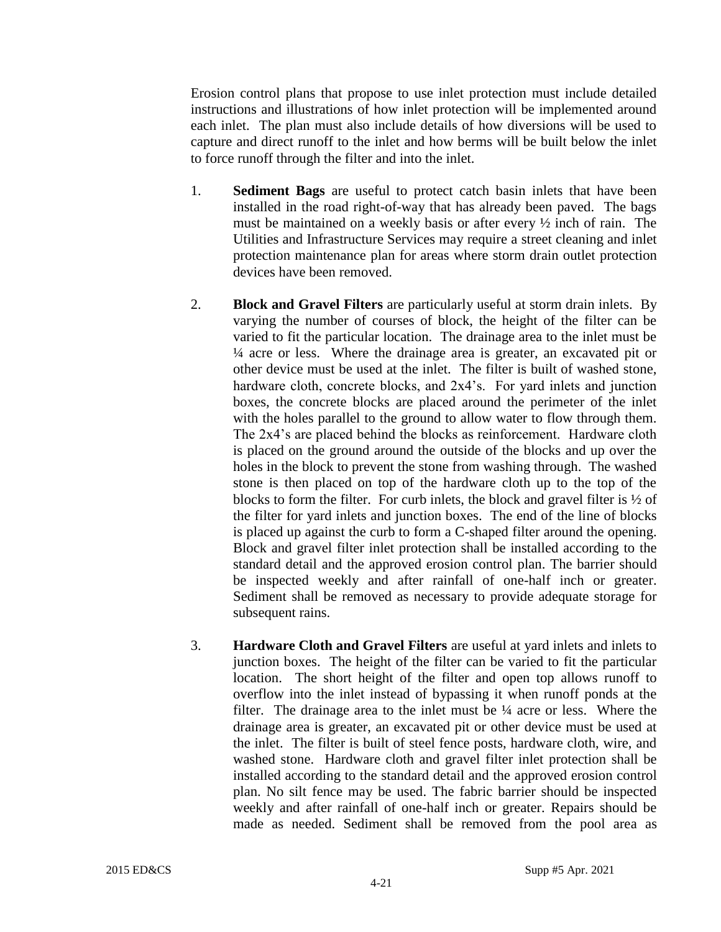Erosion control plans that propose to use inlet protection must include detailed instructions and illustrations of how inlet protection will be implemented around each inlet. The plan must also include details of how diversions will be used to capture and direct runoff to the inlet and how berms will be built below the inlet to force runoff through the filter and into the inlet.

- 1. **Sediment Bags** are useful to protect catch basin inlets that have been installed in the road right-of-way that has already been paved. The bags must be maintained on a weekly basis or after every ½ inch of rain. The Utilities and Infrastructure Services may require a street cleaning and inlet protection maintenance plan for areas where storm drain outlet protection devices have been removed.
- 2. **Block and Gravel Filters** are particularly useful at storm drain inlets. By varying the number of courses of block, the height of the filter can be varied to fit the particular location. The drainage area to the inlet must be ¼ acre or less. Where the drainage area is greater, an excavated pit or other device must be used at the inlet. The filter is built of washed stone, hardware cloth, concrete blocks, and 2x4's. For yard inlets and junction boxes, the concrete blocks are placed around the perimeter of the inlet with the holes parallel to the ground to allow water to flow through them. The 2x4's are placed behind the blocks as reinforcement. Hardware cloth is placed on the ground around the outside of the blocks and up over the holes in the block to prevent the stone from washing through. The washed stone is then placed on top of the hardware cloth up to the top of the blocks to form the filter. For curb inlets, the block and gravel filter is ½ of the filter for yard inlets and junction boxes. The end of the line of blocks is placed up against the curb to form a C-shaped filter around the opening. Block and gravel filter inlet protection shall be installed according to the standard detail and the approved erosion control plan. The barrier should be inspected weekly and after rainfall of one-half inch or greater. Sediment shall be removed as necessary to provide adequate storage for subsequent rains.
- 3. **Hardware Cloth and Gravel Filters** are useful at yard inlets and inlets to junction boxes. The height of the filter can be varied to fit the particular location. The short height of the filter and open top allows runoff to overflow into the inlet instead of bypassing it when runoff ponds at the filter. The drainage area to the inlet must be ¼ acre or less. Where the drainage area is greater, an excavated pit or other device must be used at the inlet. The filter is built of steel fence posts, hardware cloth, wire, and washed stone. Hardware cloth and gravel filter inlet protection shall be installed according to the standard detail and the approved erosion control plan. No silt fence may be used. The fabric barrier should be inspected weekly and after rainfall of one-half inch or greater. Repairs should be made as needed. Sediment shall be removed from the pool area as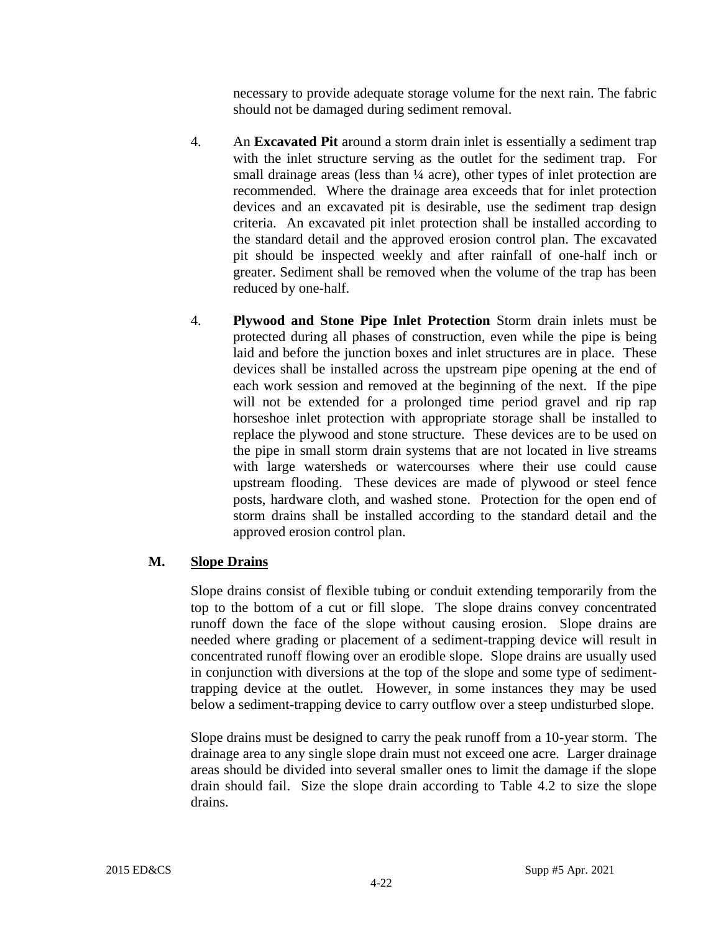necessary to provide adequate storage volume for the next rain. The fabric should not be damaged during sediment removal.

- 4. An **Excavated Pit** around a storm drain inlet is essentially a sediment trap with the inlet structure serving as the outlet for the sediment trap. For small drainage areas (less than  $\frac{1}{4}$  acre), other types of inlet protection are recommended. Where the drainage area exceeds that for inlet protection devices and an excavated pit is desirable, use the sediment trap design criteria. An excavated pit inlet protection shall be installed according to the standard detail and the approved erosion control plan. The excavated pit should be inspected weekly and after rainfall of one-half inch or greater. Sediment shall be removed when the volume of the trap has been reduced by one-half.
- 4. **Plywood and Stone Pipe Inlet Protection** Storm drain inlets must be protected during all phases of construction, even while the pipe is being laid and before the junction boxes and inlet structures are in place. These devices shall be installed across the upstream pipe opening at the end of each work session and removed at the beginning of the next. If the pipe will not be extended for a prolonged time period gravel and rip rap horseshoe inlet protection with appropriate storage shall be installed to replace the plywood and stone structure. These devices are to be used on the pipe in small storm drain systems that are not located in live streams with large watersheds or watercourses where their use could cause upstream flooding. These devices are made of plywood or steel fence posts, hardware cloth, and washed stone. Protection for the open end of storm drains shall be installed according to the standard detail and the approved erosion control plan.

# **M. Slope Drains**

Slope drains consist of flexible tubing or conduit extending temporarily from the top to the bottom of a cut or fill slope. The slope drains convey concentrated runoff down the face of the slope without causing erosion. Slope drains are needed where grading or placement of a sediment-trapping device will result in concentrated runoff flowing over an erodible slope. Slope drains are usually used in conjunction with diversions at the top of the slope and some type of sedimenttrapping device at the outlet. However, in some instances they may be used below a sediment-trapping device to carry outflow over a steep undisturbed slope.

Slope drains must be designed to carry the peak runoff from a 10-year storm. The drainage area to any single slope drain must not exceed one acre. Larger drainage areas should be divided into several smaller ones to limit the damage if the slope drain should fail. Size the slope drain according to Table 4.2 to size the slope drains.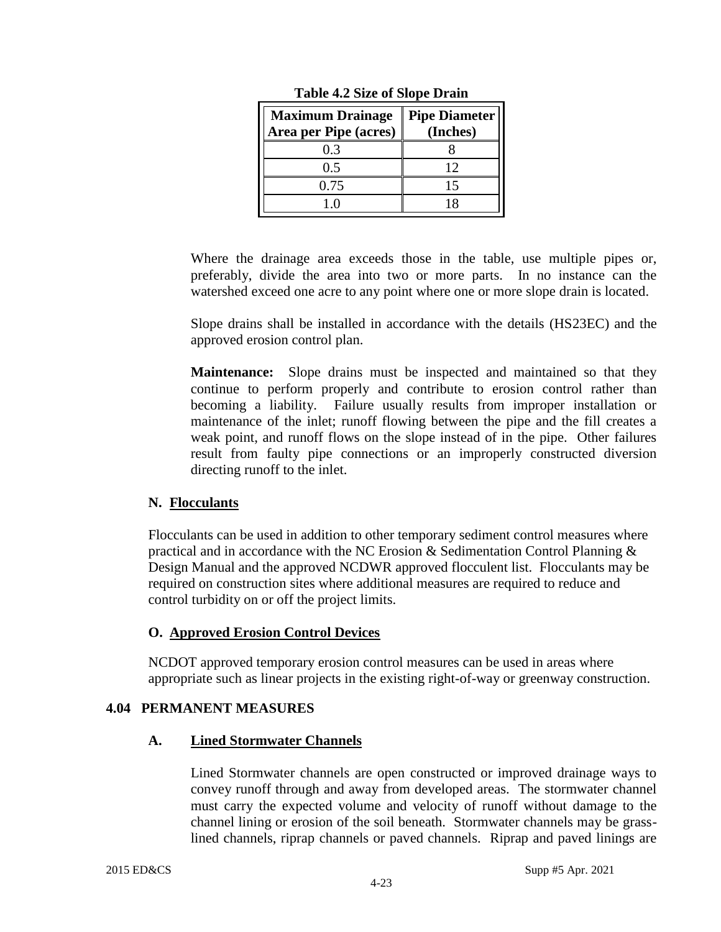| <b>Maximum Drainage</b><br>Area per Pipe (acres) | <b>Pipe Diameter</b><br>(Inches) |
|--------------------------------------------------|----------------------------------|
| 0.3                                              |                                  |
| 0.5                                              | 12                               |
| 0.75                                             |                                  |
| l ()                                             |                                  |

**Table 4.2 Size of Slope Drain**

Where the drainage area exceeds those in the table, use multiple pipes or, preferably, divide the area into two or more parts. In no instance can the watershed exceed one acre to any point where one or more slope drain is located.

Slope drains shall be installed in accordance with the details (HS23EC) and the approved erosion control plan.

**Maintenance:**Slope drains must be inspected and maintained so that they continue to perform properly and contribute to erosion control rather than becoming a liability. Failure usually results from improper installation or maintenance of the inlet; runoff flowing between the pipe and the fill creates a weak point, and runoff flows on the slope instead of in the pipe. Other failures result from faulty pipe connections or an improperly constructed diversion directing runoff to the inlet.

# **N. Flocculants**

Flocculants can be used in addition to other temporary sediment control measures where practical and in accordance with the NC Erosion  $\&$  Sedimentation Control Planning  $\&$ Design Manual and the approved NCDWR approved flocculent list. Flocculants may be required on construction sites where additional measures are required to reduce and control turbidity on or off the project limits.

# **O. Approved Erosion Control Devices**

NCDOT approved temporary erosion control measures can be used in areas where appropriate such as linear projects in the existing right-of-way or greenway construction.

# **4.04 PERMANENT MEASURES**

#### **A. Lined Stormwater Channels**

Lined Stormwater channels are open constructed or improved drainage ways to convey runoff through and away from developed areas. The stormwater channel must carry the expected volume and velocity of runoff without damage to the channel lining or erosion of the soil beneath. Stormwater channels may be grasslined channels, riprap channels or paved channels. Riprap and paved linings are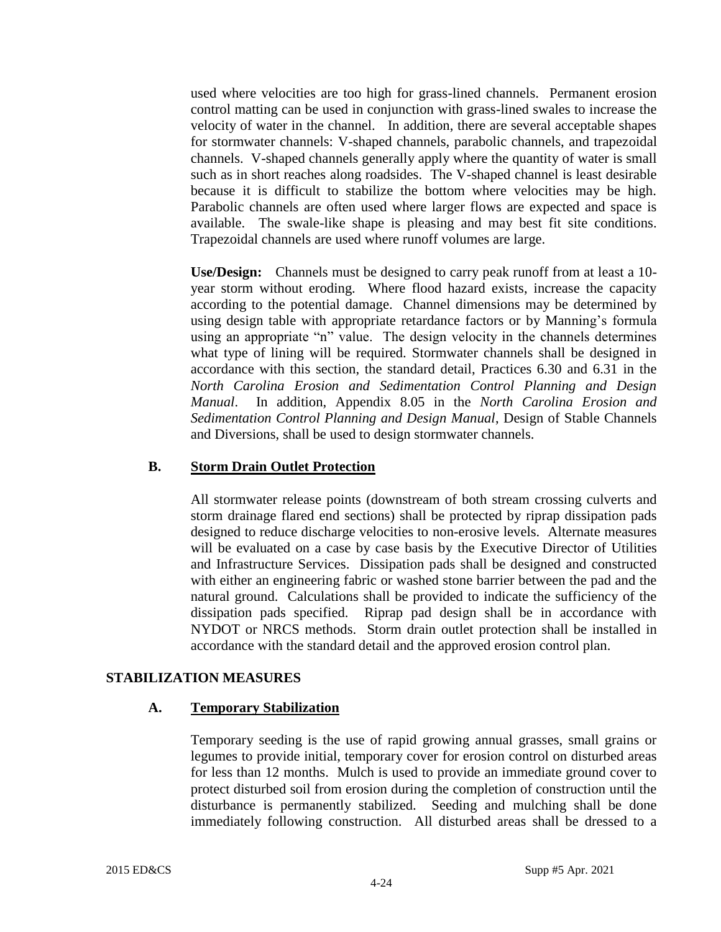used where velocities are too high for grass-lined channels. Permanent erosion control matting can be used in conjunction with grass-lined swales to increase the velocity of water in the channel. In addition, there are several acceptable shapes for stormwater channels: V-shaped channels, parabolic channels, and trapezoidal channels. V-shaped channels generally apply where the quantity of water is small such as in short reaches along roadsides. The V-shaped channel is least desirable because it is difficult to stabilize the bottom where velocities may be high. Parabolic channels are often used where larger flows are expected and space is available. The swale-like shape is pleasing and may best fit site conditions. Trapezoidal channels are used where runoff volumes are large.

**Use/Design:** Channels must be designed to carry peak runoff from at least a 10 year storm without eroding. Where flood hazard exists, increase the capacity according to the potential damage. Channel dimensions may be determined by using design table with appropriate retardance factors or by Manning's formula using an appropriate "n" value. The design velocity in the channels determines what type of lining will be required. Stormwater channels shall be designed in accordance with this section, the standard detail, Practices 6.30 and 6.31 in the *North Carolina Erosion and Sedimentation Control Planning and Design Manual*. In addition, Appendix 8.05 in the *North Carolina Erosion and Sedimentation Control Planning and Design Manual*, Design of Stable Channels and Diversions, shall be used to design stormwater channels.

#### **B. Storm Drain Outlet Protection**

All stormwater release points (downstream of both stream crossing culverts and storm drainage flared end sections) shall be protected by riprap dissipation pads designed to reduce discharge velocities to non-erosive levels. Alternate measures will be evaluated on a case by case basis by the Executive Director of Utilities and Infrastructure Services. Dissipation pads shall be designed and constructed with either an engineering fabric or washed stone barrier between the pad and the natural ground. Calculations shall be provided to indicate the sufficiency of the dissipation pads specified. Riprap pad design shall be in accordance with NYDOT or NRCS methods. Storm drain outlet protection shall be installed in accordance with the standard detail and the approved erosion control plan.

#### **STABILIZATION MEASURES**

#### **A. Temporary Stabilization**

Temporary seeding is the use of rapid growing annual grasses, small grains or legumes to provide initial, temporary cover for erosion control on disturbed areas for less than 12 months. Mulch is used to provide an immediate ground cover to protect disturbed soil from erosion during the completion of construction until the disturbance is permanently stabilized. Seeding and mulching shall be done immediately following construction. All disturbed areas shall be dressed to a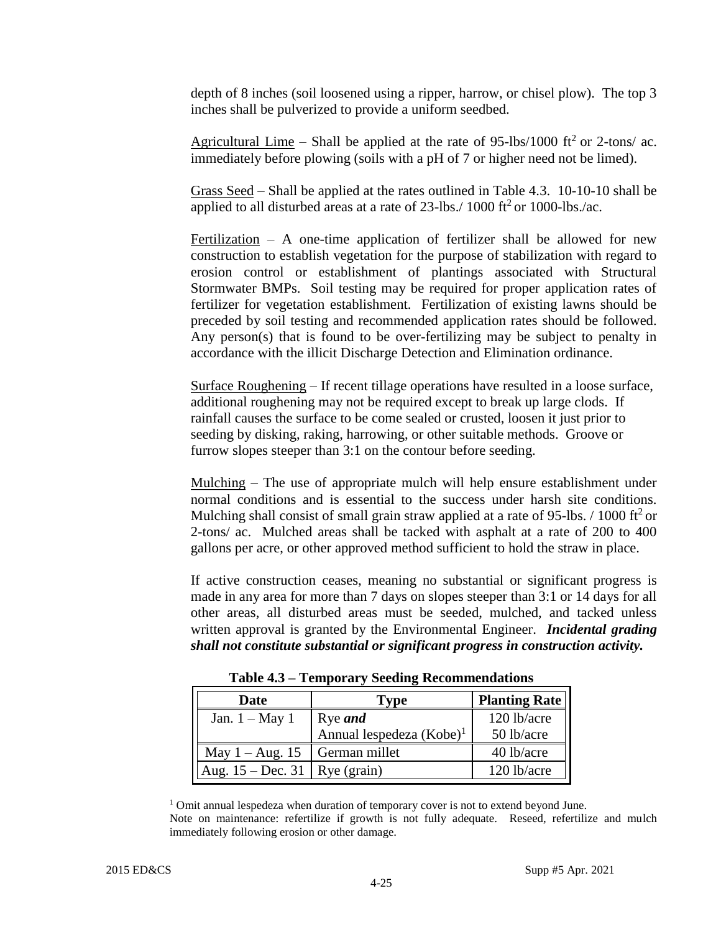depth of 8 inches (soil loosened using a ripper, harrow, or chisel plow). The top 3 inches shall be pulverized to provide a uniform seedbed.

Agricultural Lime – Shall be applied at the rate of 95-lbs/1000 ft<sup>2</sup> or 2-tons/ ac. immediately before plowing (soils with a pH of 7 or higher need not be limed).

Grass Seed – Shall be applied at the rates outlined in Table 4.3. 10-10-10 shall be applied to all disturbed areas at a rate of  $23$ -lbs./ $1000$  ft<sup>2</sup> or 1000-lbs./ac.

Fertilization – A one-time application of fertilizer shall be allowed for new construction to establish vegetation for the purpose of stabilization with regard to erosion control or establishment of plantings associated with Structural Stormwater BMPs. Soil testing may be required for proper application rates of fertilizer for vegetation establishment. Fertilization of existing lawns should be preceded by soil testing and recommended application rates should be followed. Any person(s) that is found to be over-fertilizing may be subject to penalty in accordance with the illicit Discharge Detection and Elimination ordinance.

Surface Roughening – If recent tillage operations have resulted in a loose surface, additional roughening may not be required except to break up large clods. If rainfall causes the surface to be come sealed or crusted, loosen it just prior to seeding by disking, raking, harrowing, or other suitable methods. Groove or furrow slopes steeper than 3:1 on the contour before seeding.

Mulching – The use of appropriate mulch will help ensure establishment under normal conditions and is essential to the success under harsh site conditions. Mulching shall consist of small grain straw applied at a rate of 95-lbs.  $/1000$  ft<sup>2</sup> or 2-tons/ ac. Mulched areas shall be tacked with asphalt at a rate of 200 to 400 gallons per acre, or other approved method sufficient to hold the straw in place.

If active construction ceases, meaning no substantial or significant progress is made in any area for more than 7 days on slopes steeper than 3:1 or 14 days for all other areas, all disturbed areas must be seeded, mulched, and tacked unless written approval is granted by the Environmental Engineer. *Incidental grading shall not constitute substantial or significant progress in construction activity.*

| Date                            | Type                        | <b>Planting Rate</b> |
|---------------------------------|-----------------------------|----------------------|
| Jan. $1 - May 1$                | Rye <i>and</i>              | 120 lb/acre          |
|                                 | Annual lespedeza $(Kobe)^1$ | 50 lb/acre           |
| May 1 – Aug. 15   German millet |                             | 40 lb/acre           |
| Aug. 15 – Dec. 31   Rye (grain) |                             | 120 lb/acre          |

**Table 4.3 – Temporary Seeding Recommendations**

<sup>1</sup> Omit annual lespedeza when duration of temporary cover is not to extend beyond June. Note on maintenance: refertilize if growth is not fully adequate. Reseed, refertilize and mulch immediately following erosion or other damage.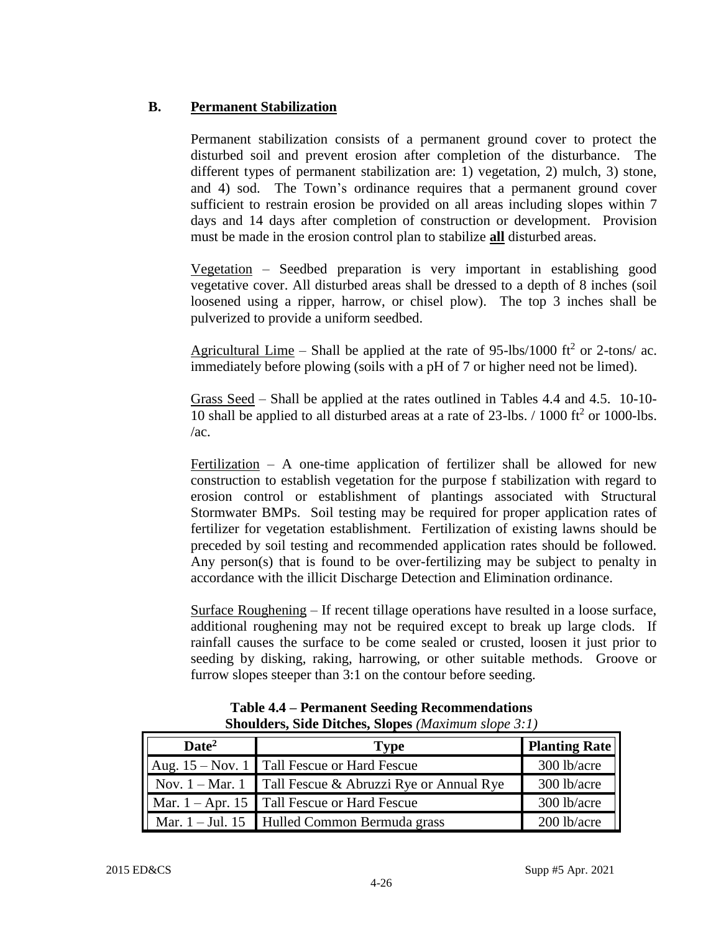# **B. Permanent Stabilization**

Permanent stabilization consists of a permanent ground cover to protect the disturbed soil and prevent erosion after completion of the disturbance. The different types of permanent stabilization are: 1) vegetation, 2) mulch, 3) stone, and 4) sod. The Town's ordinance requires that a permanent ground cover sufficient to restrain erosion be provided on all areas including slopes within 7 days and 14 days after completion of construction or development. Provision must be made in the erosion control plan to stabilize **all** disturbed areas.

Vegetation – Seedbed preparation is very important in establishing good vegetative cover. All disturbed areas shall be dressed to a depth of 8 inches (soil loosened using a ripper, harrow, or chisel plow). The top 3 inches shall be pulverized to provide a uniform seedbed.

Agricultural Lime – Shall be applied at the rate of 95-lbs/1000 ft<sup>2</sup> or 2-tons/ ac. immediately before plowing (soils with a pH of 7 or higher need not be limed).

Grass Seed – Shall be applied at the rates outlined in Tables 4.4 and 4.5. 10-10- 10 shall be applied to all disturbed areas at a rate of 23-lbs. / 1000 ft<sup>2</sup> or 1000-lbs.  $/ac$ .

Fertilization – A one-time application of fertilizer shall be allowed for new construction to establish vegetation for the purpose f stabilization with regard to erosion control or establishment of plantings associated with Structural Stormwater BMPs. Soil testing may be required for proper application rates of fertilizer for vegetation establishment. Fertilization of existing lawns should be preceded by soil testing and recommended application rates should be followed. Any person(s) that is found to be over-fertilizing may be subject to penalty in accordance with the illicit Discharge Detection and Elimination ordinance.

Surface Roughening – If recent tillage operations have resulted in a loose surface, additional roughening may not be required except to break up large clods. If rainfall causes the surface to be come sealed or crusted, loosen it just prior to seeding by disking, raking, harrowing, or other suitable methods. Groove or furrow slopes steeper than 3:1 on the contour before seeding.

| $\text{Date}^2$ | Type                                                                | <b>Planting Rate</b> |
|-----------------|---------------------------------------------------------------------|----------------------|
|                 | $\vert$ Aug. 15 – Nov. 1 Tall Fescue or Hard Fescue                 | 300 lb/acre          |
|                 | $\parallel$ Nov. 1 – Mar. 1 Tall Fescue & Abruzzi Rye or Annual Rye | 300 lb/acre          |
|                 | $\parallel$ Mar. 1 – Apr. 15 Tall Fescue or Hard Fescue             | 300 lb/acre          |
|                 | $\parallel$ Mar. 1 – Jul. 15 Hulled Common Bermuda grass            | 200 lb/acre          |

#### **Table 4.4 – Permanent Seeding Recommendations Shoulders, Side Ditches, Slopes** *(Maximum slope 3:1)*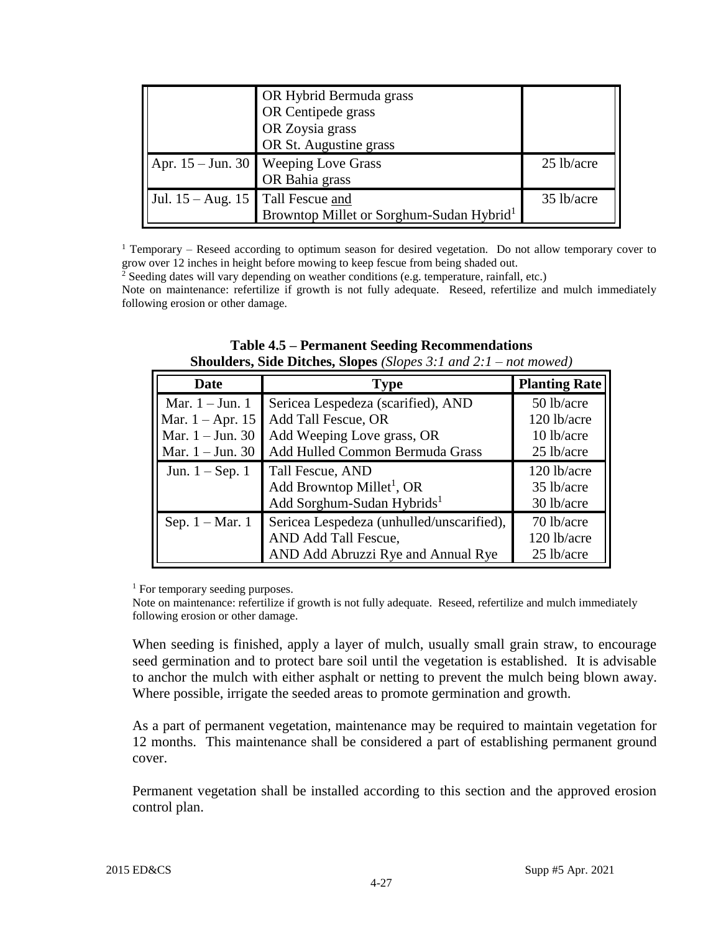|                                     | OR Hybrid Bermuda grass<br>OR Centipede grass<br>OR Zoysia grass<br>OR St. Augustine grass |            |
|-------------------------------------|--------------------------------------------------------------------------------------------|------------|
|                                     | Apr. $15 - Jun. 30$ Weeping Love Grass<br>OR Bahia grass                                   | 25 lb/acre |
| Jul. $15 - Aug. 15$ Tall Fescue and | Browntop Millet or Sorghum-Sudan Hybrid <sup>1</sup>                                       | 35 lb/acre |

<sup>1</sup> Temporary – Reseed according to optimum season for desired vegetation. Do not allow temporary cover to grow over 12 inches in height before mowing to keep fescue from being shaded out.

<sup>2</sup> Seeding dates will vary depending on weather conditions (e.g. temperature, rainfall, etc.)

Note on maintenance: refertilize if growth is not fully adequate. Reseed, refertilize and mulch immediately following erosion or other damage.

| <b>Date</b>              | <b>Type</b>                               | <b>Planting Rate</b> |
|--------------------------|-------------------------------------------|----------------------|
| Mar. $1 -$ Jun. 1        | Sericea Lespedeza (scarified), AND        | 50 lb/acre           |
| Mar. $1 -$ Apr. 15       | Add Tall Fescue, OR                       | 120 lb/acre          |
| Mar. $1 -$ Jun. 30       | Add Weeping Love grass, OR                | 10 lb/acre           |
| Mar. $1 -$ Jun. 30       | Add Hulled Common Bermuda Grass           | 25 lb/acre           |
| Jun. $1 -$ Sep. 1        | Tall Fescue, AND                          | 120 lb/acre          |
|                          | Add Browntop Millet <sup>1</sup> , OR     | 35 lb/acre           |
|                          | Add Sorghum-Sudan Hybrids <sup>1</sup>    | 30 lb/acre           |
| Sep. $1 - \text{Mar.} 1$ | Sericea Lespedeza (unhulled/unscarified), | 70 lb/acre           |
|                          | AND Add Tall Fescue,                      | 120 lb/acre          |
|                          | AND Add Abruzzi Rye and Annual Rye        | 25 lb/acre           |

#### **Table 4.5 – Permanent Seeding Recommendations Shoulders, Side Ditches, Slopes** *(Slopes 3:1 and 2:1 – not mowed)*

<sup>1</sup> For temporary seeding purposes.

Note on maintenance: refertilize if growth is not fully adequate. Reseed, refertilize and mulch immediately following erosion or other damage.

When seeding is finished, apply a layer of mulch, usually small grain straw, to encourage seed germination and to protect bare soil until the vegetation is established. It is advisable to anchor the mulch with either asphalt or netting to prevent the mulch being blown away. Where possible, irrigate the seeded areas to promote germination and growth.

As a part of permanent vegetation, maintenance may be required to maintain vegetation for 12 months. This maintenance shall be considered a part of establishing permanent ground cover.

Permanent vegetation shall be installed according to this section and the approved erosion control plan.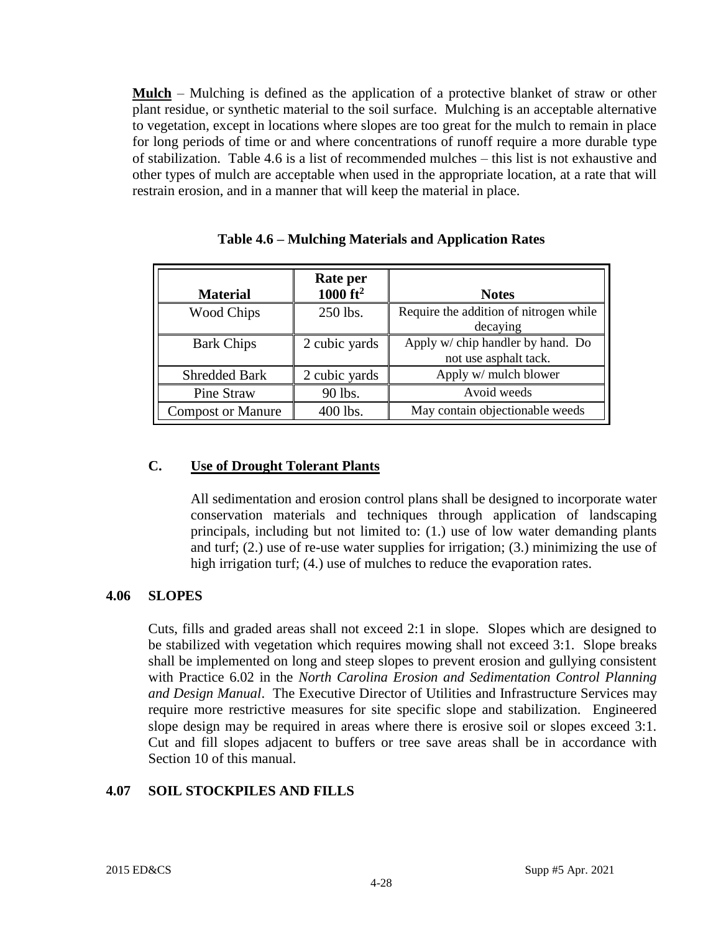**Mulch** – Mulching is defined as the application of a protective blanket of straw or other plant residue, or synthetic material to the soil surface. Mulching is an acceptable alternative to vegetation, except in locations where slopes are too great for the mulch to remain in place for long periods of time or and where concentrations of runoff require a more durable type of stabilization. Table 4.6 is a list of recommended mulches – this list is not exhaustive and other types of mulch are acceptable when used in the appropriate location, at a rate that will restrain erosion, and in a manner that will keep the material in place.

| <b>Material</b>          | Rate per<br>1000 $ft^2$ | <b>Notes</b>                                               |
|--------------------------|-------------------------|------------------------------------------------------------|
| <b>Wood Chips</b>        | 250 lbs.                | Require the addition of nitrogen while<br>decaying         |
| <b>Bark Chips</b>        | 2 cubic yards           | Apply w/ chip handler by hand. Do<br>not use asphalt tack. |
| <b>Shredded Bark</b>     | 2 cubic yards           | Apply w/ mulch blower                                      |
| Pine Straw               | 90 lbs.                 | Avoid weeds                                                |
| <b>Compost or Manure</b> | 400 lbs.                | May contain objectionable weeds                            |

#### **Table 4.6 – Mulching Materials and Application Rates**

#### **C. Use of Drought Tolerant Plants**

All sedimentation and erosion control plans shall be designed to incorporate water conservation materials and techniques through application of landscaping principals, including but not limited to: (1.) use of low water demanding plants and turf; (2.) use of re-use water supplies for irrigation; (3.) minimizing the use of high irrigation turf; (4.) use of mulches to reduce the evaporation rates.

#### **4.06 SLOPES**

Cuts, fills and graded areas shall not exceed 2:1 in slope. Slopes which are designed to be stabilized with vegetation which requires mowing shall not exceed 3:1. Slope breaks shall be implemented on long and steep slopes to prevent erosion and gullying consistent with Practice 6.02 in the *North Carolina Erosion and Sedimentation Control Planning and Design Manual*. The Executive Director of Utilities and Infrastructure Services may require more restrictive measures for site specific slope and stabilization. Engineered slope design may be required in areas where there is erosive soil or slopes exceed 3:1. Cut and fill slopes adjacent to buffers or tree save areas shall be in accordance with Section 10 of this manual.

# **4.07 SOIL STOCKPILES AND FILLS**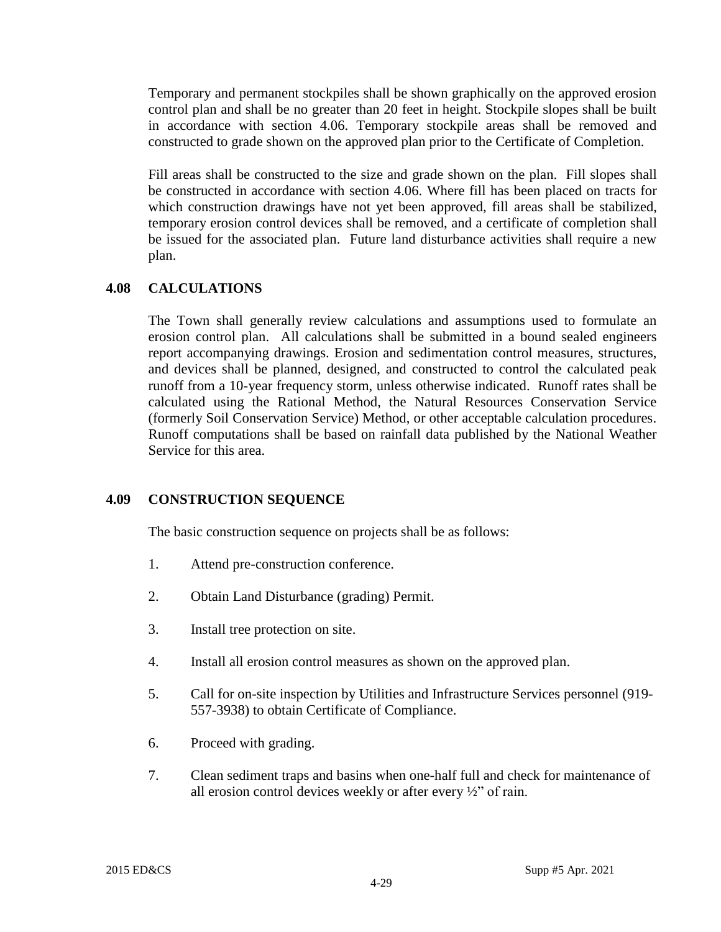Temporary and permanent stockpiles shall be shown graphically on the approved erosion control plan and shall be no greater than 20 feet in height. Stockpile slopes shall be built in accordance with section 4.06. Temporary stockpile areas shall be removed and constructed to grade shown on the approved plan prior to the Certificate of Completion.

Fill areas shall be constructed to the size and grade shown on the plan. Fill slopes shall be constructed in accordance with section 4.06. Where fill has been placed on tracts for which construction drawings have not yet been approved, fill areas shall be stabilized, temporary erosion control devices shall be removed, and a certificate of completion shall be issued for the associated plan. Future land disturbance activities shall require a new plan.

# **4.08 CALCULATIONS**

The Town shall generally review calculations and assumptions used to formulate an erosion control plan. All calculations shall be submitted in a bound sealed engineers report accompanying drawings. Erosion and sedimentation control measures, structures, and devices shall be planned, designed, and constructed to control the calculated peak runoff from a 10-year frequency storm, unless otherwise indicated. Runoff rates shall be calculated using the Rational Method, the Natural Resources Conservation Service (formerly Soil Conservation Service) Method, or other acceptable calculation procedures. Runoff computations shall be based on rainfall data published by the National Weather Service for this area.

# **4.09 CONSTRUCTION SEQUENCE**

The basic construction sequence on projects shall be as follows:

- 1. Attend pre-construction conference.
- 2. Obtain Land Disturbance (grading) Permit.
- 3. Install tree protection on site.
- 4. Install all erosion control measures as shown on the approved plan.
- 5. Call for on-site inspection by Utilities and Infrastructure Services personnel (919- 557-3938) to obtain Certificate of Compliance.
- 6. Proceed with grading.
- 7. Clean sediment traps and basins when one-half full and check for maintenance of all erosion control devices weekly or after every ½" of rain.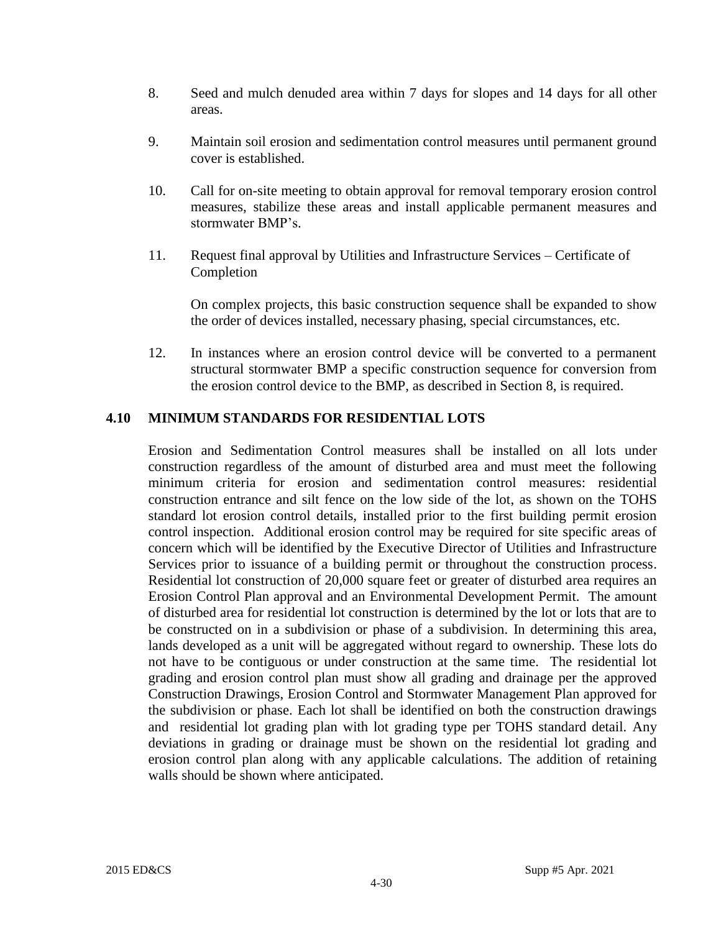- 8. Seed and mulch denuded area within 7 days for slopes and 14 days for all other areas.
- 9. Maintain soil erosion and sedimentation control measures until permanent ground cover is established.
- 10. Call for on-site meeting to obtain approval for removal temporary erosion control measures, stabilize these areas and install applicable permanent measures and stormwater BMP's.
- 11. Request final approval by Utilities and Infrastructure Services Certificate of Completion

On complex projects, this basic construction sequence shall be expanded to show the order of devices installed, necessary phasing, special circumstances, etc.

12. In instances where an erosion control device will be converted to a permanent structural stormwater BMP a specific construction sequence for conversion from the erosion control device to the BMP, as described in Section 8, is required.

# **4.10 MINIMUM STANDARDS FOR RESIDENTIAL LOTS**

Erosion and Sedimentation Control measures shall be installed on all lots under construction regardless of the amount of disturbed area and must meet the following minimum criteria for erosion and sedimentation control measures: residential construction entrance and silt fence on the low side of the lot, as shown on the TOHS standard lot erosion control details, installed prior to the first building permit erosion control inspection. Additional erosion control may be required for site specific areas of concern which will be identified by the Executive Director of Utilities and Infrastructure Services prior to issuance of a building permit or throughout the construction process. Residential lot construction of 20,000 square feet or greater of disturbed area requires an Erosion Control Plan approval and an Environmental Development Permit. The amount of disturbed area for residential lot construction is determined by the lot or lots that are to be constructed on in a subdivision or phase of a subdivision. In determining this area, lands developed as a unit will be aggregated without regard to ownership. These lots do not have to be contiguous or under construction at the same time. The residential lot grading and erosion control plan must show all grading and drainage per the approved Construction Drawings, Erosion Control and Stormwater Management Plan approved for the subdivision or phase. Each lot shall be identified on both the construction drawings and residential lot grading plan with lot grading type per TOHS standard detail. Any deviations in grading or drainage must be shown on the residential lot grading and erosion control plan along with any applicable calculations. The addition of retaining walls should be shown where anticipated.